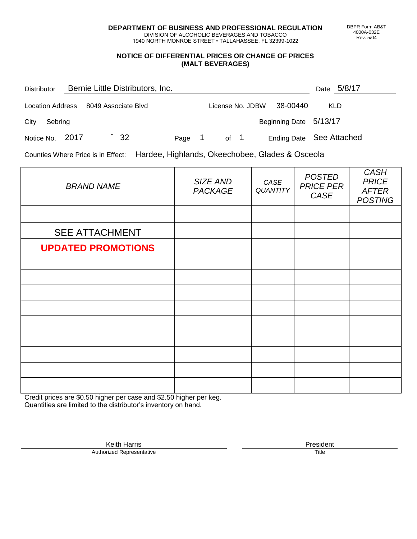**DEPARTMENT OF BUSINESS AND PROFESSIONAL REGULATION** DIVISION OF ALCOHOLIC BEVERAGES AND TOBACCO

1940 NORTH MONROE STREET • TALLAHASSEE, FL 32399-1022

#### **NOTICE OF DIFFERENTIAL PRICES OR CHANGE OF PRICES (MALT BEVERAGES)**

| <b>Distributor</b>      | Bernie Little Distributors, Inc. |        |                  |                        | 5/8/17<br>Date           |
|-------------------------|----------------------------------|--------|------------------|------------------------|--------------------------|
| <b>Location Address</b> | 8049 Associate Blvd              |        | License No. JDBW | 38-00440               | <b>KLD</b>               |
| City<br>Sebring         |                                  |        |                  | Beginning Date 5/13/17 |                          |
| Notice No. 2017         | 32                               | Page 1 | of 1             |                        | Ending Date See Attached |

Counties Where Price is in Effect: Hardee, Highlands, Okeechobee, Glades & Osceola

| <b>BRAND NAME</b>         | SIZE AND<br><b>PACKAGE</b> | CASE<br><b>QUANTITY</b> | <b>POSTED</b><br><b>PRICE PER</b><br>CASE | <b>CASH</b><br><b>PRICE</b><br><b>AFTER</b><br><b>POSTING</b> |
|---------------------------|----------------------------|-------------------------|-------------------------------------------|---------------------------------------------------------------|
|                           |                            |                         |                                           |                                                               |
| <b>SEE ATTACHMENT</b>     |                            |                         |                                           |                                                               |
| <b>UPDATED PROMOTIONS</b> |                            |                         |                                           |                                                               |
|                           |                            |                         |                                           |                                                               |
|                           |                            |                         |                                           |                                                               |
|                           |                            |                         |                                           |                                                               |
|                           |                            |                         |                                           |                                                               |
|                           |                            |                         |                                           |                                                               |
|                           |                            |                         |                                           |                                                               |
|                           |                            |                         |                                           |                                                               |
|                           |                            |                         |                                           |                                                               |
|                           |                            |                         |                                           |                                                               |

Credit prices are \$0.50 higher per case and \$2.50 higher per keg. Quantities are limited to the distributor's inventory on hand.

> Keith Harris **President**<br> **President**<br>
> Prized Representative **President** Authorized Representative

DBPR Form AB&T 4000A-032E Rev. 5/04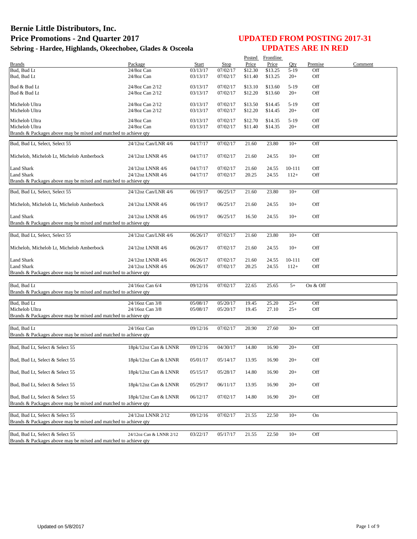| Comment<br><b>Brands</b><br>Package<br>Start<br>Stop<br>Price<br>Price<br>Premise<br>Oty<br>Bud, Bud Lt<br>24/8oz Can<br>03/13/17<br>07/02/17<br>\$12.30<br>\$13.25<br>$5-19$<br>Off<br>Bud, Bud Lt<br>07/02/17<br>\$13.25<br>$20+$<br>Off<br>$24/8$ oz Can<br>03/13/17<br>\$11.40<br>Bud & Bud Lt<br>24/8oz Can 2/12<br>03/13/17<br>07/02/17<br>\$13.10<br>\$13.60<br>Off<br>$5-19$<br>Off<br>Bud & Bud Lt<br>24/8oz Can 2/12<br>03/13/17<br>07/02/17<br>\$12.20<br>\$13.60<br>$20+$<br>24/8oz Can 2/12<br>07/02/17<br>Off<br>Michelob Ultra<br>03/13/17<br>\$13.50<br>\$14.45<br>$5-19$<br>Michelob Ultra<br>24/8oz Can 2/12<br>03/13/17<br>07/02/17<br>\$12.20<br>\$14.45<br>$20+$<br>Off<br>Michelob Ultra<br>24/8oz Can<br>03/13/17<br>07/02/17<br>\$12.70<br>\$14.35<br>$5-19$<br>Off<br>Michelob Ultra<br>24/8oz Can<br>03/13/17<br>07/02/17<br>\$11.40<br>\$14.35<br>$20+$<br>Off<br>Brands & Packages above may be mixed and matched to achieve qty<br>07/02/17<br>Bud, Bud Lt, Select, Select 55<br>24/12oz Can/LNR 4/6<br>04/17/17<br>21.60<br>23.80<br>$10+$<br>Off<br>$10+$<br>Off<br>24/12oz LNNR 4/6<br>04/17/17<br>07/02/17<br>21.60<br>24.55<br>Michelob, Michelob Lt, Michelob Amberbock<br>Land Shark<br>04/17/17<br>07/02/17<br>21.60<br>10-111<br>Off<br>24/12oz LNNR 4/6<br>24.55<br>Off<br>Land Shark<br>04/17/17<br>07/02/17<br>20.25<br>24.55<br>$112+$<br>24/12oz LNNR 4/6<br>Brands & Packages above may be mixed and matched to achieve qty<br>$10+$<br>Off<br>Bud, Bud Lt, Select, Select 55<br>24/12oz Can/LNR 4/6<br>06/19/17<br>06/25/17<br>21.60<br>23.80<br>24/12oz LNNR 4/6<br>06/19/17<br>06/25/17<br>21.60<br>$10+$<br>Off<br>Michelob, Michelob Lt, Michelob Amberbock<br>24.55<br>Land Shark<br>24/12oz LNNR 4/6<br>06/19/17<br>06/25/17<br>16.50<br>24.55<br>$10+$<br>Off<br>Brands & Packages above may be mixed and matched to achieve qty<br>Bud, Bud Lt, Select, Select 55<br>24/12oz Can/LNR 4/6<br>07/02/17<br>$10+$<br>Off<br>06/26/17<br>21.60<br>23.80<br>Off<br>24/12oz LNNR 4/6<br>06/26/17<br>07/02/17<br>21.60<br>24.55<br>$10+$<br>Michelob, Michelob Lt, Michelob Amberbock<br><b>Land Shark</b><br>Off<br>06/26/17<br>21.60<br>24.55<br>10-111<br>24/12oz LNNR 4/6<br>07/02/17<br>Off<br>Land Shark<br>24/12oz LNNR 4/6<br>06/26/17<br>07/02/17<br>20.25<br>24.55<br>$112+$<br>Brands & Packages above may be mixed and matched to achieve qty<br>07/02/17<br>Bud, Bud Lt<br>24/16oz Can 6/4<br>09/12/16<br>22.65<br>25.65<br>$5+$<br>On & Off<br>Brands & Packages above may be mixed and matched to achieve qty<br>Bud, Bud Lt<br>$25+$<br>Off<br>24/16oz Can 3/8<br>05/08/17<br>05/20/17<br>19.45<br>25.20<br>Michelob Ultra<br>Off<br>24/16oz Can 3/8<br>05/20/17<br>27.10<br>$25+$<br>05/08/17<br>19.45<br>Brands & Packages above may be mixed and matched to achieve qty<br>Bud, Bud Lt<br>07/02/17<br>$30+$<br>Off<br>24/16oz Can<br>09/12/16<br>20.90<br>27.60<br>Brands & Packages above may be mixed and matched to achieve qty<br>18pk/12oz Can & LNNR<br>04/30/17<br>$20+$<br>Off<br>Bud, Bud Lt, Select & Select 55<br>09/12/16<br>14.80<br>16.90<br>Bud, Bud Lt, Select & Select 55<br>05/01/17<br>05/14/17<br>13.95<br>16.90<br>$20+$<br>Off<br>18pk/12oz Can & LNNR<br>Off<br>Bud, Bud Lt, Select & Select 55<br>18pk/12oz Can & LNNR<br>05/15/17<br>05/28/17<br>14.80<br>16.90<br>$20+$<br>18pk/12oz Can & LNNR<br>05/29/17<br>Off<br>Bud, Bud Lt, Select & Select 55<br>06/11/17<br>13.95<br>16.90<br>$20+$<br>Off<br>Bud, Bud Lt, Select & Select 55<br>18pk/12oz Can & LNNR<br>06/12/17<br>07/02/17<br>14.80<br>$20+$<br>16.90<br>Brands & Packages above may be mixed and matched to achieve qty<br>Bud, Bud Lt, Select & Select 55<br>24/12oz LNNR 2/12<br>07/02/17<br>22.50<br>$10+$<br>09/12/16<br>21.55<br>On<br>Brands & Packages above may be mixed and matched to achieve qty<br>Bud, Bud Lt, Select & Select 55<br>24/12oz Can & LNNR 2/12<br>21.55<br>Off<br>03/22/17<br>05/17/17<br>22.50<br>$10+$<br>Brands & Packages above may be mixed and matched to achieve gty |  |  | Posted | Frontline |  |  |
|---------------------------------------------------------------------------------------------------------------------------------------------------------------------------------------------------------------------------------------------------------------------------------------------------------------------------------------------------------------------------------------------------------------------------------------------------------------------------------------------------------------------------------------------------------------------------------------------------------------------------------------------------------------------------------------------------------------------------------------------------------------------------------------------------------------------------------------------------------------------------------------------------------------------------------------------------------------------------------------------------------------------------------------------------------------------------------------------------------------------------------------------------------------------------------------------------------------------------------------------------------------------------------------------------------------------------------------------------------------------------------------------------------------------------------------------------------------------------------------------------------------------------------------------------------------------------------------------------------------------------------------------------------------------------------------------------------------------------------------------------------------------------------------------------------------------------------------------------------------------------------------------------------------------------------------------------------------------------------------------------------------------------------------------------------------------------------------------------------------------------------------------------------------------------------------------------------------------------------------------------------------------------------------------------------------------------------------------------------------------------------------------------------------------------------------------------------------------------------------------------------------------------------------------------------------------------------------------------------------------------------------------------------------------------------------------------------------------------------------------------------------------------------------------------------------------------------------------------------------------------------------------------------------------------------------------------------------------------------------------------------------------------------------------------------------------------------------------------------------------------------------------------------------------------------------------------------------------------------------------------------------------------------------------------------------------------------------------------------------------------------------------------------------------------------------------------------------------------------------------------------------------------------------------------------------------------------------------------------------------------------------------------------------------------------------------------------------------------------------------------------------------------------------------------------------------------------------------------------------------------------------------------------------------------------------------------------------------------------------------------------------------------------------------------------------|--|--|--------|-----------|--|--|
|                                                                                                                                                                                                                                                                                                                                                                                                                                                                                                                                                                                                                                                                                                                                                                                                                                                                                                                                                                                                                                                                                                                                                                                                                                                                                                                                                                                                                                                                                                                                                                                                                                                                                                                                                                                                                                                                                                                                                                                                                                                                                                                                                                                                                                                                                                                                                                                                                                                                                                                                                                                                                                                                                                                                                                                                                                                                                                                                                                                                                                                                                                                                                                                                                                                                                                                                                                                                                                                                                                                                                                                                                                                                                                                                                                                                                                                                                                                                                                                                                                                               |  |  |        |           |  |  |
|                                                                                                                                                                                                                                                                                                                                                                                                                                                                                                                                                                                                                                                                                                                                                                                                                                                                                                                                                                                                                                                                                                                                                                                                                                                                                                                                                                                                                                                                                                                                                                                                                                                                                                                                                                                                                                                                                                                                                                                                                                                                                                                                                                                                                                                                                                                                                                                                                                                                                                                                                                                                                                                                                                                                                                                                                                                                                                                                                                                                                                                                                                                                                                                                                                                                                                                                                                                                                                                                                                                                                                                                                                                                                                                                                                                                                                                                                                                                                                                                                                                               |  |  |        |           |  |  |
|                                                                                                                                                                                                                                                                                                                                                                                                                                                                                                                                                                                                                                                                                                                                                                                                                                                                                                                                                                                                                                                                                                                                                                                                                                                                                                                                                                                                                                                                                                                                                                                                                                                                                                                                                                                                                                                                                                                                                                                                                                                                                                                                                                                                                                                                                                                                                                                                                                                                                                                                                                                                                                                                                                                                                                                                                                                                                                                                                                                                                                                                                                                                                                                                                                                                                                                                                                                                                                                                                                                                                                                                                                                                                                                                                                                                                                                                                                                                                                                                                                                               |  |  |        |           |  |  |
|                                                                                                                                                                                                                                                                                                                                                                                                                                                                                                                                                                                                                                                                                                                                                                                                                                                                                                                                                                                                                                                                                                                                                                                                                                                                                                                                                                                                                                                                                                                                                                                                                                                                                                                                                                                                                                                                                                                                                                                                                                                                                                                                                                                                                                                                                                                                                                                                                                                                                                                                                                                                                                                                                                                                                                                                                                                                                                                                                                                                                                                                                                                                                                                                                                                                                                                                                                                                                                                                                                                                                                                                                                                                                                                                                                                                                                                                                                                                                                                                                                                               |  |  |        |           |  |  |
|                                                                                                                                                                                                                                                                                                                                                                                                                                                                                                                                                                                                                                                                                                                                                                                                                                                                                                                                                                                                                                                                                                                                                                                                                                                                                                                                                                                                                                                                                                                                                                                                                                                                                                                                                                                                                                                                                                                                                                                                                                                                                                                                                                                                                                                                                                                                                                                                                                                                                                                                                                                                                                                                                                                                                                                                                                                                                                                                                                                                                                                                                                                                                                                                                                                                                                                                                                                                                                                                                                                                                                                                                                                                                                                                                                                                                                                                                                                                                                                                                                                               |  |  |        |           |  |  |
|                                                                                                                                                                                                                                                                                                                                                                                                                                                                                                                                                                                                                                                                                                                                                                                                                                                                                                                                                                                                                                                                                                                                                                                                                                                                                                                                                                                                                                                                                                                                                                                                                                                                                                                                                                                                                                                                                                                                                                                                                                                                                                                                                                                                                                                                                                                                                                                                                                                                                                                                                                                                                                                                                                                                                                                                                                                                                                                                                                                                                                                                                                                                                                                                                                                                                                                                                                                                                                                                                                                                                                                                                                                                                                                                                                                                                                                                                                                                                                                                                                                               |  |  |        |           |  |  |
|                                                                                                                                                                                                                                                                                                                                                                                                                                                                                                                                                                                                                                                                                                                                                                                                                                                                                                                                                                                                                                                                                                                                                                                                                                                                                                                                                                                                                                                                                                                                                                                                                                                                                                                                                                                                                                                                                                                                                                                                                                                                                                                                                                                                                                                                                                                                                                                                                                                                                                                                                                                                                                                                                                                                                                                                                                                                                                                                                                                                                                                                                                                                                                                                                                                                                                                                                                                                                                                                                                                                                                                                                                                                                                                                                                                                                                                                                                                                                                                                                                                               |  |  |        |           |  |  |
|                                                                                                                                                                                                                                                                                                                                                                                                                                                                                                                                                                                                                                                                                                                                                                                                                                                                                                                                                                                                                                                                                                                                                                                                                                                                                                                                                                                                                                                                                                                                                                                                                                                                                                                                                                                                                                                                                                                                                                                                                                                                                                                                                                                                                                                                                                                                                                                                                                                                                                                                                                                                                                                                                                                                                                                                                                                                                                                                                                                                                                                                                                                                                                                                                                                                                                                                                                                                                                                                                                                                                                                                                                                                                                                                                                                                                                                                                                                                                                                                                                                               |  |  |        |           |  |  |
|                                                                                                                                                                                                                                                                                                                                                                                                                                                                                                                                                                                                                                                                                                                                                                                                                                                                                                                                                                                                                                                                                                                                                                                                                                                                                                                                                                                                                                                                                                                                                                                                                                                                                                                                                                                                                                                                                                                                                                                                                                                                                                                                                                                                                                                                                                                                                                                                                                                                                                                                                                                                                                                                                                                                                                                                                                                                                                                                                                                                                                                                                                                                                                                                                                                                                                                                                                                                                                                                                                                                                                                                                                                                                                                                                                                                                                                                                                                                                                                                                                                               |  |  |        |           |  |  |
|                                                                                                                                                                                                                                                                                                                                                                                                                                                                                                                                                                                                                                                                                                                                                                                                                                                                                                                                                                                                                                                                                                                                                                                                                                                                                                                                                                                                                                                                                                                                                                                                                                                                                                                                                                                                                                                                                                                                                                                                                                                                                                                                                                                                                                                                                                                                                                                                                                                                                                                                                                                                                                                                                                                                                                                                                                                                                                                                                                                                                                                                                                                                                                                                                                                                                                                                                                                                                                                                                                                                                                                                                                                                                                                                                                                                                                                                                                                                                                                                                                                               |  |  |        |           |  |  |
|                                                                                                                                                                                                                                                                                                                                                                                                                                                                                                                                                                                                                                                                                                                                                                                                                                                                                                                                                                                                                                                                                                                                                                                                                                                                                                                                                                                                                                                                                                                                                                                                                                                                                                                                                                                                                                                                                                                                                                                                                                                                                                                                                                                                                                                                                                                                                                                                                                                                                                                                                                                                                                                                                                                                                                                                                                                                                                                                                                                                                                                                                                                                                                                                                                                                                                                                                                                                                                                                                                                                                                                                                                                                                                                                                                                                                                                                                                                                                                                                                                                               |  |  |        |           |  |  |
|                                                                                                                                                                                                                                                                                                                                                                                                                                                                                                                                                                                                                                                                                                                                                                                                                                                                                                                                                                                                                                                                                                                                                                                                                                                                                                                                                                                                                                                                                                                                                                                                                                                                                                                                                                                                                                                                                                                                                                                                                                                                                                                                                                                                                                                                                                                                                                                                                                                                                                                                                                                                                                                                                                                                                                                                                                                                                                                                                                                                                                                                                                                                                                                                                                                                                                                                                                                                                                                                                                                                                                                                                                                                                                                                                                                                                                                                                                                                                                                                                                                               |  |  |        |           |  |  |
|                                                                                                                                                                                                                                                                                                                                                                                                                                                                                                                                                                                                                                                                                                                                                                                                                                                                                                                                                                                                                                                                                                                                                                                                                                                                                                                                                                                                                                                                                                                                                                                                                                                                                                                                                                                                                                                                                                                                                                                                                                                                                                                                                                                                                                                                                                                                                                                                                                                                                                                                                                                                                                                                                                                                                                                                                                                                                                                                                                                                                                                                                                                                                                                                                                                                                                                                                                                                                                                                                                                                                                                                                                                                                                                                                                                                                                                                                                                                                                                                                                                               |  |  |        |           |  |  |
|                                                                                                                                                                                                                                                                                                                                                                                                                                                                                                                                                                                                                                                                                                                                                                                                                                                                                                                                                                                                                                                                                                                                                                                                                                                                                                                                                                                                                                                                                                                                                                                                                                                                                                                                                                                                                                                                                                                                                                                                                                                                                                                                                                                                                                                                                                                                                                                                                                                                                                                                                                                                                                                                                                                                                                                                                                                                                                                                                                                                                                                                                                                                                                                                                                                                                                                                                                                                                                                                                                                                                                                                                                                                                                                                                                                                                                                                                                                                                                                                                                                               |  |  |        |           |  |  |
|                                                                                                                                                                                                                                                                                                                                                                                                                                                                                                                                                                                                                                                                                                                                                                                                                                                                                                                                                                                                                                                                                                                                                                                                                                                                                                                                                                                                                                                                                                                                                                                                                                                                                                                                                                                                                                                                                                                                                                                                                                                                                                                                                                                                                                                                                                                                                                                                                                                                                                                                                                                                                                                                                                                                                                                                                                                                                                                                                                                                                                                                                                                                                                                                                                                                                                                                                                                                                                                                                                                                                                                                                                                                                                                                                                                                                                                                                                                                                                                                                                                               |  |  |        |           |  |  |
|                                                                                                                                                                                                                                                                                                                                                                                                                                                                                                                                                                                                                                                                                                                                                                                                                                                                                                                                                                                                                                                                                                                                                                                                                                                                                                                                                                                                                                                                                                                                                                                                                                                                                                                                                                                                                                                                                                                                                                                                                                                                                                                                                                                                                                                                                                                                                                                                                                                                                                                                                                                                                                                                                                                                                                                                                                                                                                                                                                                                                                                                                                                                                                                                                                                                                                                                                                                                                                                                                                                                                                                                                                                                                                                                                                                                                                                                                                                                                                                                                                                               |  |  |        |           |  |  |
|                                                                                                                                                                                                                                                                                                                                                                                                                                                                                                                                                                                                                                                                                                                                                                                                                                                                                                                                                                                                                                                                                                                                                                                                                                                                                                                                                                                                                                                                                                                                                                                                                                                                                                                                                                                                                                                                                                                                                                                                                                                                                                                                                                                                                                                                                                                                                                                                                                                                                                                                                                                                                                                                                                                                                                                                                                                                                                                                                                                                                                                                                                                                                                                                                                                                                                                                                                                                                                                                                                                                                                                                                                                                                                                                                                                                                                                                                                                                                                                                                                                               |  |  |        |           |  |  |
|                                                                                                                                                                                                                                                                                                                                                                                                                                                                                                                                                                                                                                                                                                                                                                                                                                                                                                                                                                                                                                                                                                                                                                                                                                                                                                                                                                                                                                                                                                                                                                                                                                                                                                                                                                                                                                                                                                                                                                                                                                                                                                                                                                                                                                                                                                                                                                                                                                                                                                                                                                                                                                                                                                                                                                                                                                                                                                                                                                                                                                                                                                                                                                                                                                                                                                                                                                                                                                                                                                                                                                                                                                                                                                                                                                                                                                                                                                                                                                                                                                                               |  |  |        |           |  |  |
|                                                                                                                                                                                                                                                                                                                                                                                                                                                                                                                                                                                                                                                                                                                                                                                                                                                                                                                                                                                                                                                                                                                                                                                                                                                                                                                                                                                                                                                                                                                                                                                                                                                                                                                                                                                                                                                                                                                                                                                                                                                                                                                                                                                                                                                                                                                                                                                                                                                                                                                                                                                                                                                                                                                                                                                                                                                                                                                                                                                                                                                                                                                                                                                                                                                                                                                                                                                                                                                                                                                                                                                                                                                                                                                                                                                                                                                                                                                                                                                                                                                               |  |  |        |           |  |  |
|                                                                                                                                                                                                                                                                                                                                                                                                                                                                                                                                                                                                                                                                                                                                                                                                                                                                                                                                                                                                                                                                                                                                                                                                                                                                                                                                                                                                                                                                                                                                                                                                                                                                                                                                                                                                                                                                                                                                                                                                                                                                                                                                                                                                                                                                                                                                                                                                                                                                                                                                                                                                                                                                                                                                                                                                                                                                                                                                                                                                                                                                                                                                                                                                                                                                                                                                                                                                                                                                                                                                                                                                                                                                                                                                                                                                                                                                                                                                                                                                                                                               |  |  |        |           |  |  |
|                                                                                                                                                                                                                                                                                                                                                                                                                                                                                                                                                                                                                                                                                                                                                                                                                                                                                                                                                                                                                                                                                                                                                                                                                                                                                                                                                                                                                                                                                                                                                                                                                                                                                                                                                                                                                                                                                                                                                                                                                                                                                                                                                                                                                                                                                                                                                                                                                                                                                                                                                                                                                                                                                                                                                                                                                                                                                                                                                                                                                                                                                                                                                                                                                                                                                                                                                                                                                                                                                                                                                                                                                                                                                                                                                                                                                                                                                                                                                                                                                                                               |  |  |        |           |  |  |
|                                                                                                                                                                                                                                                                                                                                                                                                                                                                                                                                                                                                                                                                                                                                                                                                                                                                                                                                                                                                                                                                                                                                                                                                                                                                                                                                                                                                                                                                                                                                                                                                                                                                                                                                                                                                                                                                                                                                                                                                                                                                                                                                                                                                                                                                                                                                                                                                                                                                                                                                                                                                                                                                                                                                                                                                                                                                                                                                                                                                                                                                                                                                                                                                                                                                                                                                                                                                                                                                                                                                                                                                                                                                                                                                                                                                                                                                                                                                                                                                                                                               |  |  |        |           |  |  |
|                                                                                                                                                                                                                                                                                                                                                                                                                                                                                                                                                                                                                                                                                                                                                                                                                                                                                                                                                                                                                                                                                                                                                                                                                                                                                                                                                                                                                                                                                                                                                                                                                                                                                                                                                                                                                                                                                                                                                                                                                                                                                                                                                                                                                                                                                                                                                                                                                                                                                                                                                                                                                                                                                                                                                                                                                                                                                                                                                                                                                                                                                                                                                                                                                                                                                                                                                                                                                                                                                                                                                                                                                                                                                                                                                                                                                                                                                                                                                                                                                                                               |  |  |        |           |  |  |
|                                                                                                                                                                                                                                                                                                                                                                                                                                                                                                                                                                                                                                                                                                                                                                                                                                                                                                                                                                                                                                                                                                                                                                                                                                                                                                                                                                                                                                                                                                                                                                                                                                                                                                                                                                                                                                                                                                                                                                                                                                                                                                                                                                                                                                                                                                                                                                                                                                                                                                                                                                                                                                                                                                                                                                                                                                                                                                                                                                                                                                                                                                                                                                                                                                                                                                                                                                                                                                                                                                                                                                                                                                                                                                                                                                                                                                                                                                                                                                                                                                                               |  |  |        |           |  |  |
|                                                                                                                                                                                                                                                                                                                                                                                                                                                                                                                                                                                                                                                                                                                                                                                                                                                                                                                                                                                                                                                                                                                                                                                                                                                                                                                                                                                                                                                                                                                                                                                                                                                                                                                                                                                                                                                                                                                                                                                                                                                                                                                                                                                                                                                                                                                                                                                                                                                                                                                                                                                                                                                                                                                                                                                                                                                                                                                                                                                                                                                                                                                                                                                                                                                                                                                                                                                                                                                                                                                                                                                                                                                                                                                                                                                                                                                                                                                                                                                                                                                               |  |  |        |           |  |  |
|                                                                                                                                                                                                                                                                                                                                                                                                                                                                                                                                                                                                                                                                                                                                                                                                                                                                                                                                                                                                                                                                                                                                                                                                                                                                                                                                                                                                                                                                                                                                                                                                                                                                                                                                                                                                                                                                                                                                                                                                                                                                                                                                                                                                                                                                                                                                                                                                                                                                                                                                                                                                                                                                                                                                                                                                                                                                                                                                                                                                                                                                                                                                                                                                                                                                                                                                                                                                                                                                                                                                                                                                                                                                                                                                                                                                                                                                                                                                                                                                                                                               |  |  |        |           |  |  |
|                                                                                                                                                                                                                                                                                                                                                                                                                                                                                                                                                                                                                                                                                                                                                                                                                                                                                                                                                                                                                                                                                                                                                                                                                                                                                                                                                                                                                                                                                                                                                                                                                                                                                                                                                                                                                                                                                                                                                                                                                                                                                                                                                                                                                                                                                                                                                                                                                                                                                                                                                                                                                                                                                                                                                                                                                                                                                                                                                                                                                                                                                                                                                                                                                                                                                                                                                                                                                                                                                                                                                                                                                                                                                                                                                                                                                                                                                                                                                                                                                                                               |  |  |        |           |  |  |
|                                                                                                                                                                                                                                                                                                                                                                                                                                                                                                                                                                                                                                                                                                                                                                                                                                                                                                                                                                                                                                                                                                                                                                                                                                                                                                                                                                                                                                                                                                                                                                                                                                                                                                                                                                                                                                                                                                                                                                                                                                                                                                                                                                                                                                                                                                                                                                                                                                                                                                                                                                                                                                                                                                                                                                                                                                                                                                                                                                                                                                                                                                                                                                                                                                                                                                                                                                                                                                                                                                                                                                                                                                                                                                                                                                                                                                                                                                                                                                                                                                                               |  |  |        |           |  |  |
|                                                                                                                                                                                                                                                                                                                                                                                                                                                                                                                                                                                                                                                                                                                                                                                                                                                                                                                                                                                                                                                                                                                                                                                                                                                                                                                                                                                                                                                                                                                                                                                                                                                                                                                                                                                                                                                                                                                                                                                                                                                                                                                                                                                                                                                                                                                                                                                                                                                                                                                                                                                                                                                                                                                                                                                                                                                                                                                                                                                                                                                                                                                                                                                                                                                                                                                                                                                                                                                                                                                                                                                                                                                                                                                                                                                                                                                                                                                                                                                                                                                               |  |  |        |           |  |  |
|                                                                                                                                                                                                                                                                                                                                                                                                                                                                                                                                                                                                                                                                                                                                                                                                                                                                                                                                                                                                                                                                                                                                                                                                                                                                                                                                                                                                                                                                                                                                                                                                                                                                                                                                                                                                                                                                                                                                                                                                                                                                                                                                                                                                                                                                                                                                                                                                                                                                                                                                                                                                                                                                                                                                                                                                                                                                                                                                                                                                                                                                                                                                                                                                                                                                                                                                                                                                                                                                                                                                                                                                                                                                                                                                                                                                                                                                                                                                                                                                                                                               |  |  |        |           |  |  |
|                                                                                                                                                                                                                                                                                                                                                                                                                                                                                                                                                                                                                                                                                                                                                                                                                                                                                                                                                                                                                                                                                                                                                                                                                                                                                                                                                                                                                                                                                                                                                                                                                                                                                                                                                                                                                                                                                                                                                                                                                                                                                                                                                                                                                                                                                                                                                                                                                                                                                                                                                                                                                                                                                                                                                                                                                                                                                                                                                                                                                                                                                                                                                                                                                                                                                                                                                                                                                                                                                                                                                                                                                                                                                                                                                                                                                                                                                                                                                                                                                                                               |  |  |        |           |  |  |
|                                                                                                                                                                                                                                                                                                                                                                                                                                                                                                                                                                                                                                                                                                                                                                                                                                                                                                                                                                                                                                                                                                                                                                                                                                                                                                                                                                                                                                                                                                                                                                                                                                                                                                                                                                                                                                                                                                                                                                                                                                                                                                                                                                                                                                                                                                                                                                                                                                                                                                                                                                                                                                                                                                                                                                                                                                                                                                                                                                                                                                                                                                                                                                                                                                                                                                                                                                                                                                                                                                                                                                                                                                                                                                                                                                                                                                                                                                                                                                                                                                                               |  |  |        |           |  |  |
|                                                                                                                                                                                                                                                                                                                                                                                                                                                                                                                                                                                                                                                                                                                                                                                                                                                                                                                                                                                                                                                                                                                                                                                                                                                                                                                                                                                                                                                                                                                                                                                                                                                                                                                                                                                                                                                                                                                                                                                                                                                                                                                                                                                                                                                                                                                                                                                                                                                                                                                                                                                                                                                                                                                                                                                                                                                                                                                                                                                                                                                                                                                                                                                                                                                                                                                                                                                                                                                                                                                                                                                                                                                                                                                                                                                                                                                                                                                                                                                                                                                               |  |  |        |           |  |  |
|                                                                                                                                                                                                                                                                                                                                                                                                                                                                                                                                                                                                                                                                                                                                                                                                                                                                                                                                                                                                                                                                                                                                                                                                                                                                                                                                                                                                                                                                                                                                                                                                                                                                                                                                                                                                                                                                                                                                                                                                                                                                                                                                                                                                                                                                                                                                                                                                                                                                                                                                                                                                                                                                                                                                                                                                                                                                                                                                                                                                                                                                                                                                                                                                                                                                                                                                                                                                                                                                                                                                                                                                                                                                                                                                                                                                                                                                                                                                                                                                                                                               |  |  |        |           |  |  |
|                                                                                                                                                                                                                                                                                                                                                                                                                                                                                                                                                                                                                                                                                                                                                                                                                                                                                                                                                                                                                                                                                                                                                                                                                                                                                                                                                                                                                                                                                                                                                                                                                                                                                                                                                                                                                                                                                                                                                                                                                                                                                                                                                                                                                                                                                                                                                                                                                                                                                                                                                                                                                                                                                                                                                                                                                                                                                                                                                                                                                                                                                                                                                                                                                                                                                                                                                                                                                                                                                                                                                                                                                                                                                                                                                                                                                                                                                                                                                                                                                                                               |  |  |        |           |  |  |
|                                                                                                                                                                                                                                                                                                                                                                                                                                                                                                                                                                                                                                                                                                                                                                                                                                                                                                                                                                                                                                                                                                                                                                                                                                                                                                                                                                                                                                                                                                                                                                                                                                                                                                                                                                                                                                                                                                                                                                                                                                                                                                                                                                                                                                                                                                                                                                                                                                                                                                                                                                                                                                                                                                                                                                                                                                                                                                                                                                                                                                                                                                                                                                                                                                                                                                                                                                                                                                                                                                                                                                                                                                                                                                                                                                                                                                                                                                                                                                                                                                                               |  |  |        |           |  |  |
|                                                                                                                                                                                                                                                                                                                                                                                                                                                                                                                                                                                                                                                                                                                                                                                                                                                                                                                                                                                                                                                                                                                                                                                                                                                                                                                                                                                                                                                                                                                                                                                                                                                                                                                                                                                                                                                                                                                                                                                                                                                                                                                                                                                                                                                                                                                                                                                                                                                                                                                                                                                                                                                                                                                                                                                                                                                                                                                                                                                                                                                                                                                                                                                                                                                                                                                                                                                                                                                                                                                                                                                                                                                                                                                                                                                                                                                                                                                                                                                                                                                               |  |  |        |           |  |  |
|                                                                                                                                                                                                                                                                                                                                                                                                                                                                                                                                                                                                                                                                                                                                                                                                                                                                                                                                                                                                                                                                                                                                                                                                                                                                                                                                                                                                                                                                                                                                                                                                                                                                                                                                                                                                                                                                                                                                                                                                                                                                                                                                                                                                                                                                                                                                                                                                                                                                                                                                                                                                                                                                                                                                                                                                                                                                                                                                                                                                                                                                                                                                                                                                                                                                                                                                                                                                                                                                                                                                                                                                                                                                                                                                                                                                                                                                                                                                                                                                                                                               |  |  |        |           |  |  |
|                                                                                                                                                                                                                                                                                                                                                                                                                                                                                                                                                                                                                                                                                                                                                                                                                                                                                                                                                                                                                                                                                                                                                                                                                                                                                                                                                                                                                                                                                                                                                                                                                                                                                                                                                                                                                                                                                                                                                                                                                                                                                                                                                                                                                                                                                                                                                                                                                                                                                                                                                                                                                                                                                                                                                                                                                                                                                                                                                                                                                                                                                                                                                                                                                                                                                                                                                                                                                                                                                                                                                                                                                                                                                                                                                                                                                                                                                                                                                                                                                                                               |  |  |        |           |  |  |
|                                                                                                                                                                                                                                                                                                                                                                                                                                                                                                                                                                                                                                                                                                                                                                                                                                                                                                                                                                                                                                                                                                                                                                                                                                                                                                                                                                                                                                                                                                                                                                                                                                                                                                                                                                                                                                                                                                                                                                                                                                                                                                                                                                                                                                                                                                                                                                                                                                                                                                                                                                                                                                                                                                                                                                                                                                                                                                                                                                                                                                                                                                                                                                                                                                                                                                                                                                                                                                                                                                                                                                                                                                                                                                                                                                                                                                                                                                                                                                                                                                                               |  |  |        |           |  |  |
|                                                                                                                                                                                                                                                                                                                                                                                                                                                                                                                                                                                                                                                                                                                                                                                                                                                                                                                                                                                                                                                                                                                                                                                                                                                                                                                                                                                                                                                                                                                                                                                                                                                                                                                                                                                                                                                                                                                                                                                                                                                                                                                                                                                                                                                                                                                                                                                                                                                                                                                                                                                                                                                                                                                                                                                                                                                                                                                                                                                                                                                                                                                                                                                                                                                                                                                                                                                                                                                                                                                                                                                                                                                                                                                                                                                                                                                                                                                                                                                                                                                               |  |  |        |           |  |  |
|                                                                                                                                                                                                                                                                                                                                                                                                                                                                                                                                                                                                                                                                                                                                                                                                                                                                                                                                                                                                                                                                                                                                                                                                                                                                                                                                                                                                                                                                                                                                                                                                                                                                                                                                                                                                                                                                                                                                                                                                                                                                                                                                                                                                                                                                                                                                                                                                                                                                                                                                                                                                                                                                                                                                                                                                                                                                                                                                                                                                                                                                                                                                                                                                                                                                                                                                                                                                                                                                                                                                                                                                                                                                                                                                                                                                                                                                                                                                                                                                                                                               |  |  |        |           |  |  |
|                                                                                                                                                                                                                                                                                                                                                                                                                                                                                                                                                                                                                                                                                                                                                                                                                                                                                                                                                                                                                                                                                                                                                                                                                                                                                                                                                                                                                                                                                                                                                                                                                                                                                                                                                                                                                                                                                                                                                                                                                                                                                                                                                                                                                                                                                                                                                                                                                                                                                                                                                                                                                                                                                                                                                                                                                                                                                                                                                                                                                                                                                                                                                                                                                                                                                                                                                                                                                                                                                                                                                                                                                                                                                                                                                                                                                                                                                                                                                                                                                                                               |  |  |        |           |  |  |
|                                                                                                                                                                                                                                                                                                                                                                                                                                                                                                                                                                                                                                                                                                                                                                                                                                                                                                                                                                                                                                                                                                                                                                                                                                                                                                                                                                                                                                                                                                                                                                                                                                                                                                                                                                                                                                                                                                                                                                                                                                                                                                                                                                                                                                                                                                                                                                                                                                                                                                                                                                                                                                                                                                                                                                                                                                                                                                                                                                                                                                                                                                                                                                                                                                                                                                                                                                                                                                                                                                                                                                                                                                                                                                                                                                                                                                                                                                                                                                                                                                                               |  |  |        |           |  |  |
|                                                                                                                                                                                                                                                                                                                                                                                                                                                                                                                                                                                                                                                                                                                                                                                                                                                                                                                                                                                                                                                                                                                                                                                                                                                                                                                                                                                                                                                                                                                                                                                                                                                                                                                                                                                                                                                                                                                                                                                                                                                                                                                                                                                                                                                                                                                                                                                                                                                                                                                                                                                                                                                                                                                                                                                                                                                                                                                                                                                                                                                                                                                                                                                                                                                                                                                                                                                                                                                                                                                                                                                                                                                                                                                                                                                                                                                                                                                                                                                                                                                               |  |  |        |           |  |  |
|                                                                                                                                                                                                                                                                                                                                                                                                                                                                                                                                                                                                                                                                                                                                                                                                                                                                                                                                                                                                                                                                                                                                                                                                                                                                                                                                                                                                                                                                                                                                                                                                                                                                                                                                                                                                                                                                                                                                                                                                                                                                                                                                                                                                                                                                                                                                                                                                                                                                                                                                                                                                                                                                                                                                                                                                                                                                                                                                                                                                                                                                                                                                                                                                                                                                                                                                                                                                                                                                                                                                                                                                                                                                                                                                                                                                                                                                                                                                                                                                                                                               |  |  |        |           |  |  |
|                                                                                                                                                                                                                                                                                                                                                                                                                                                                                                                                                                                                                                                                                                                                                                                                                                                                                                                                                                                                                                                                                                                                                                                                                                                                                                                                                                                                                                                                                                                                                                                                                                                                                                                                                                                                                                                                                                                                                                                                                                                                                                                                                                                                                                                                                                                                                                                                                                                                                                                                                                                                                                                                                                                                                                                                                                                                                                                                                                                                                                                                                                                                                                                                                                                                                                                                                                                                                                                                                                                                                                                                                                                                                                                                                                                                                                                                                                                                                                                                                                                               |  |  |        |           |  |  |
|                                                                                                                                                                                                                                                                                                                                                                                                                                                                                                                                                                                                                                                                                                                                                                                                                                                                                                                                                                                                                                                                                                                                                                                                                                                                                                                                                                                                                                                                                                                                                                                                                                                                                                                                                                                                                                                                                                                                                                                                                                                                                                                                                                                                                                                                                                                                                                                                                                                                                                                                                                                                                                                                                                                                                                                                                                                                                                                                                                                                                                                                                                                                                                                                                                                                                                                                                                                                                                                                                                                                                                                                                                                                                                                                                                                                                                                                                                                                                                                                                                                               |  |  |        |           |  |  |
|                                                                                                                                                                                                                                                                                                                                                                                                                                                                                                                                                                                                                                                                                                                                                                                                                                                                                                                                                                                                                                                                                                                                                                                                                                                                                                                                                                                                                                                                                                                                                                                                                                                                                                                                                                                                                                                                                                                                                                                                                                                                                                                                                                                                                                                                                                                                                                                                                                                                                                                                                                                                                                                                                                                                                                                                                                                                                                                                                                                                                                                                                                                                                                                                                                                                                                                                                                                                                                                                                                                                                                                                                                                                                                                                                                                                                                                                                                                                                                                                                                                               |  |  |        |           |  |  |
|                                                                                                                                                                                                                                                                                                                                                                                                                                                                                                                                                                                                                                                                                                                                                                                                                                                                                                                                                                                                                                                                                                                                                                                                                                                                                                                                                                                                                                                                                                                                                                                                                                                                                                                                                                                                                                                                                                                                                                                                                                                                                                                                                                                                                                                                                                                                                                                                                                                                                                                                                                                                                                                                                                                                                                                                                                                                                                                                                                                                                                                                                                                                                                                                                                                                                                                                                                                                                                                                                                                                                                                                                                                                                                                                                                                                                                                                                                                                                                                                                                                               |  |  |        |           |  |  |
|                                                                                                                                                                                                                                                                                                                                                                                                                                                                                                                                                                                                                                                                                                                                                                                                                                                                                                                                                                                                                                                                                                                                                                                                                                                                                                                                                                                                                                                                                                                                                                                                                                                                                                                                                                                                                                                                                                                                                                                                                                                                                                                                                                                                                                                                                                                                                                                                                                                                                                                                                                                                                                                                                                                                                                                                                                                                                                                                                                                                                                                                                                                                                                                                                                                                                                                                                                                                                                                                                                                                                                                                                                                                                                                                                                                                                                                                                                                                                                                                                                                               |  |  |        |           |  |  |
|                                                                                                                                                                                                                                                                                                                                                                                                                                                                                                                                                                                                                                                                                                                                                                                                                                                                                                                                                                                                                                                                                                                                                                                                                                                                                                                                                                                                                                                                                                                                                                                                                                                                                                                                                                                                                                                                                                                                                                                                                                                                                                                                                                                                                                                                                                                                                                                                                                                                                                                                                                                                                                                                                                                                                                                                                                                                                                                                                                                                                                                                                                                                                                                                                                                                                                                                                                                                                                                                                                                                                                                                                                                                                                                                                                                                                                                                                                                                                                                                                                                               |  |  |        |           |  |  |
|                                                                                                                                                                                                                                                                                                                                                                                                                                                                                                                                                                                                                                                                                                                                                                                                                                                                                                                                                                                                                                                                                                                                                                                                                                                                                                                                                                                                                                                                                                                                                                                                                                                                                                                                                                                                                                                                                                                                                                                                                                                                                                                                                                                                                                                                                                                                                                                                                                                                                                                                                                                                                                                                                                                                                                                                                                                                                                                                                                                                                                                                                                                                                                                                                                                                                                                                                                                                                                                                                                                                                                                                                                                                                                                                                                                                                                                                                                                                                                                                                                                               |  |  |        |           |  |  |
|                                                                                                                                                                                                                                                                                                                                                                                                                                                                                                                                                                                                                                                                                                                                                                                                                                                                                                                                                                                                                                                                                                                                                                                                                                                                                                                                                                                                                                                                                                                                                                                                                                                                                                                                                                                                                                                                                                                                                                                                                                                                                                                                                                                                                                                                                                                                                                                                                                                                                                                                                                                                                                                                                                                                                                                                                                                                                                                                                                                                                                                                                                                                                                                                                                                                                                                                                                                                                                                                                                                                                                                                                                                                                                                                                                                                                                                                                                                                                                                                                                                               |  |  |        |           |  |  |
|                                                                                                                                                                                                                                                                                                                                                                                                                                                                                                                                                                                                                                                                                                                                                                                                                                                                                                                                                                                                                                                                                                                                                                                                                                                                                                                                                                                                                                                                                                                                                                                                                                                                                                                                                                                                                                                                                                                                                                                                                                                                                                                                                                                                                                                                                                                                                                                                                                                                                                                                                                                                                                                                                                                                                                                                                                                                                                                                                                                                                                                                                                                                                                                                                                                                                                                                                                                                                                                                                                                                                                                                                                                                                                                                                                                                                                                                                                                                                                                                                                                               |  |  |        |           |  |  |
|                                                                                                                                                                                                                                                                                                                                                                                                                                                                                                                                                                                                                                                                                                                                                                                                                                                                                                                                                                                                                                                                                                                                                                                                                                                                                                                                                                                                                                                                                                                                                                                                                                                                                                                                                                                                                                                                                                                                                                                                                                                                                                                                                                                                                                                                                                                                                                                                                                                                                                                                                                                                                                                                                                                                                                                                                                                                                                                                                                                                                                                                                                                                                                                                                                                                                                                                                                                                                                                                                                                                                                                                                                                                                                                                                                                                                                                                                                                                                                                                                                                               |  |  |        |           |  |  |
|                                                                                                                                                                                                                                                                                                                                                                                                                                                                                                                                                                                                                                                                                                                                                                                                                                                                                                                                                                                                                                                                                                                                                                                                                                                                                                                                                                                                                                                                                                                                                                                                                                                                                                                                                                                                                                                                                                                                                                                                                                                                                                                                                                                                                                                                                                                                                                                                                                                                                                                                                                                                                                                                                                                                                                                                                                                                                                                                                                                                                                                                                                                                                                                                                                                                                                                                                                                                                                                                                                                                                                                                                                                                                                                                                                                                                                                                                                                                                                                                                                                               |  |  |        |           |  |  |
|                                                                                                                                                                                                                                                                                                                                                                                                                                                                                                                                                                                                                                                                                                                                                                                                                                                                                                                                                                                                                                                                                                                                                                                                                                                                                                                                                                                                                                                                                                                                                                                                                                                                                                                                                                                                                                                                                                                                                                                                                                                                                                                                                                                                                                                                                                                                                                                                                                                                                                                                                                                                                                                                                                                                                                                                                                                                                                                                                                                                                                                                                                                                                                                                                                                                                                                                                                                                                                                                                                                                                                                                                                                                                                                                                                                                                                                                                                                                                                                                                                                               |  |  |        |           |  |  |
|                                                                                                                                                                                                                                                                                                                                                                                                                                                                                                                                                                                                                                                                                                                                                                                                                                                                                                                                                                                                                                                                                                                                                                                                                                                                                                                                                                                                                                                                                                                                                                                                                                                                                                                                                                                                                                                                                                                                                                                                                                                                                                                                                                                                                                                                                                                                                                                                                                                                                                                                                                                                                                                                                                                                                                                                                                                                                                                                                                                                                                                                                                                                                                                                                                                                                                                                                                                                                                                                                                                                                                                                                                                                                                                                                                                                                                                                                                                                                                                                                                                               |  |  |        |           |  |  |
|                                                                                                                                                                                                                                                                                                                                                                                                                                                                                                                                                                                                                                                                                                                                                                                                                                                                                                                                                                                                                                                                                                                                                                                                                                                                                                                                                                                                                                                                                                                                                                                                                                                                                                                                                                                                                                                                                                                                                                                                                                                                                                                                                                                                                                                                                                                                                                                                                                                                                                                                                                                                                                                                                                                                                                                                                                                                                                                                                                                                                                                                                                                                                                                                                                                                                                                                                                                                                                                                                                                                                                                                                                                                                                                                                                                                                                                                                                                                                                                                                                                               |  |  |        |           |  |  |
|                                                                                                                                                                                                                                                                                                                                                                                                                                                                                                                                                                                                                                                                                                                                                                                                                                                                                                                                                                                                                                                                                                                                                                                                                                                                                                                                                                                                                                                                                                                                                                                                                                                                                                                                                                                                                                                                                                                                                                                                                                                                                                                                                                                                                                                                                                                                                                                                                                                                                                                                                                                                                                                                                                                                                                                                                                                                                                                                                                                                                                                                                                                                                                                                                                                                                                                                                                                                                                                                                                                                                                                                                                                                                                                                                                                                                                                                                                                                                                                                                                                               |  |  |        |           |  |  |
|                                                                                                                                                                                                                                                                                                                                                                                                                                                                                                                                                                                                                                                                                                                                                                                                                                                                                                                                                                                                                                                                                                                                                                                                                                                                                                                                                                                                                                                                                                                                                                                                                                                                                                                                                                                                                                                                                                                                                                                                                                                                                                                                                                                                                                                                                                                                                                                                                                                                                                                                                                                                                                                                                                                                                                                                                                                                                                                                                                                                                                                                                                                                                                                                                                                                                                                                                                                                                                                                                                                                                                                                                                                                                                                                                                                                                                                                                                                                                                                                                                                               |  |  |        |           |  |  |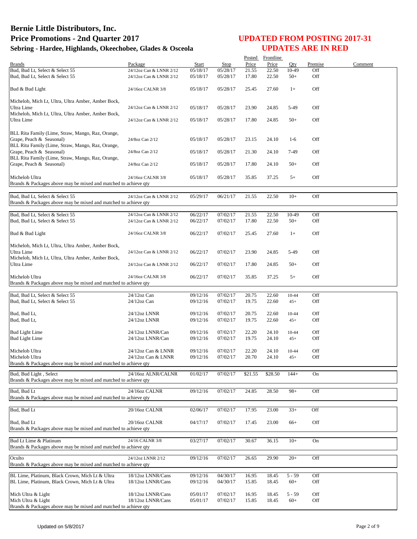|                                                                 |                         |          |          | Posted  | Frontline |           |         |         |
|-----------------------------------------------------------------|-------------------------|----------|----------|---------|-----------|-----------|---------|---------|
| <b>Brands</b>                                                   | Package                 | Start    | Stop     | Price   | Price     | Oty       | Premise | Comment |
| Bud, Bud Lt, Select & Select 55                                 | 24/12oz Can & LNNR 2/12 | 05/18/17 | 05/28/17 | 21.55   | 22.50     | 10-49     | Off     |         |
| Bud, Bud Lt, Select & Select 55                                 | 24/12oz Can & LNNR 2/12 | 05/18/17 | 05/28/17 | 17.80   | 22.50     | $50+$     | Off     |         |
|                                                                 |                         |          |          |         |           |           |         |         |
| Bud & Bud Light                                                 | 24/16oz CALNR 3/8       | 05/18/17 | 05/28/17 | 25.45   | 27.60     | $1+$      | Off     |         |
|                                                                 |                         |          |          |         |           |           |         |         |
| Michelob, Mich Lt, Ultra, Ultra Amber, Amber Bock,              |                         |          |          |         |           |           |         |         |
| Ultra Lime                                                      | 24/12oz Can & LNNR 2/12 | 05/18/17 | 05/28/17 | 23.90   | 24.85     | 5-49      | Off     |         |
| Michelob, Mich Lt, Ultra, Ultra Amber, Amber Bock,              |                         |          |          |         |           |           |         |         |
| Ultra Lime                                                      | 24/12oz Can & LNNR 2/12 | 05/18/17 | 05/28/17 | 17.80   | 24.85     | $50+$     | Off     |         |
|                                                                 |                         |          |          |         |           |           |         |         |
| BLL Rita Family (Lime, Straw, Mango, Raz, Orange,               |                         |          |          |         |           |           |         |         |
| Grape, Peach & Seasonal)                                        | 24/8oz Can 2/12         | 05/18/17 | 05/28/17 | 23.15   | 24.10     | $1-6$     | Off     |         |
| BLL Rita Family (Lime, Straw, Mango, Raz, Orange,               |                         |          |          |         |           |           |         |         |
| Grape, Peach & Seasonal)                                        | 24/8oz Can 2/12         | 05/18/17 | 05/28/17 | 21.30   | 24.10     | 7-49      | Off     |         |
| BLL Rita Family (Lime, Straw, Mango, Raz, Orange,               |                         |          |          |         |           |           |         |         |
| Grape, Peach & Seasonal)                                        | 24/8oz Can 2/12         | 05/18/17 | 05/28/17 | 17.80   | 24.10     | $50+$     | Off     |         |
|                                                                 |                         |          |          |         |           |           |         |         |
|                                                                 |                         |          |          |         |           |           |         |         |
| Michelob Ultra                                                  | 24/16oz CALNR 3/8       | 05/18/17 | 05/28/17 | 35.85   | 37.25     | $5+$      | Off     |         |
| Brands & Packages above may be mixed and matched to achieve qty |                         |          |          |         |           |           |         |         |
|                                                                 |                         |          |          |         |           |           |         |         |
| Bud, Bud Lt, Select & Select 55                                 | 24/12oz Can & LNNR 2/12 | 05/29/17 | 06/21/17 | 21.55   | 22.50     | $10+$     | Off     |         |
| Brands & Packages above may be mixed and matched to achieve qty |                         |          |          |         |           |           |         |         |
|                                                                 |                         |          |          |         |           |           |         |         |
| Bud, Bud Lt, Select & Select 55                                 | 24/12oz Can & LNNR 2/12 | 06/22/17 | 07/02/17 | 21.55   | 22.50     | 10-49     | Off     |         |
| Bud, Bud Lt, Select & Select 55                                 | 24/12oz Can & LNNR 2/12 | 06/22/17 | 07/02/17 | 17.80   | 22.50     | $50+$     | Off     |         |
|                                                                 |                         |          |          |         |           |           |         |         |
| Bud & Bud Light                                                 | 24/16oz CALNR 3/8       | 06/22/17 | 07/02/17 | 25.45   | 27.60     | $1+$      | Off     |         |
|                                                                 |                         |          |          |         |           |           |         |         |
| Michelob, Mich Lt, Ultra, Ultra Amber, Amber Bock,              |                         |          |          |         |           |           |         |         |
| Ultra Lime                                                      | 24/12oz Can & LNNR 2/12 | 06/22/17 | 07/02/17 | 23.90   | 24.85     | 5-49      | Off     |         |
| Michelob, Mich Lt, Ultra, Ultra Amber, Amber Bock,              |                         |          |          |         |           |           |         |         |
| Ultra Lime                                                      | 24/12oz Can & LNNR 2/12 | 06/22/17 | 07/02/17 | 17.80   | 24.85     | $50+$     | Off     |         |
|                                                                 |                         |          |          |         |           |           |         |         |
| Michelob Ultra                                                  | 24/16oz CALNR 3/8       | 06/22/17 | 07/02/17 | 35.85   | 37.25     | $5+$      | Off     |         |
| Brands & Packages above may be mixed and matched to achieve qty |                         |          |          |         |           |           |         |         |
|                                                                 |                         |          |          |         |           |           |         |         |
| Bud, Bud Lt, Select & Select 55                                 | $24/12$ oz Can          | 09/12/16 | 07/02/17 | 20.75   | 22.60     | $10 - 44$ | Off     |         |
| Bud, Bud Lt, Select & Select 55                                 | $24/12$ oz Can          | 09/12/16 | 07/02/17 | 19.75   | 22.60     | $45+$     | Off     |         |
|                                                                 |                         |          |          |         |           |           |         |         |
| Bud, Bud Lt,                                                    | 24/12oz LNNR            | 09/12/16 | 07/02/17 | 20.75   | 22.60     | $10 - 44$ | Off     |         |
| Bud, Bud Lt,                                                    | 24/12oz LNNR            | 09/12/16 | 07/02/17 | 19.75   | 22.60     | $45+$     | Off     |         |
|                                                                 |                         |          |          |         |           |           |         |         |
| <b>Bud Light Lime</b>                                           | 24/12oz LNNR/Can        | 09/12/16 | 07/02/17 | 22.20   | 24.10     | $10 - 44$ | Off     |         |
|                                                                 | 24/12oz LNNR/Can        | 09/12/16 |          | 19.75   |           |           | Off     |         |
| <b>Bud Light Lime</b>                                           |                         |          | 07/02/17 |         | 24.10     | $45+$     |         |         |
|                                                                 |                         |          |          |         |           |           |         |         |
| Michelob Ultra                                                  | 24/12oz Can & LNNR      | 09/12/16 | 07/02/17 | 22.20   | 24.10     | $10 - 44$ | Off     |         |
| Michelob Ultra                                                  | 24/12oz Can & LNNR      | 09/12/16 | 07/02/17 | 20.70   | 24.10     | $45+$     | Off     |         |
| Brands & Packages above may be mixed and matched to achieve qty |                         |          |          |         |           |           |         |         |
| Bud, Bud Light, Select                                          | 24/16oz ALNR/CALNR      | 01/02/17 | 07/02/17 | \$21.55 | \$28.50   | $144+$    | On      |         |
| Brands & Packages above may be mixed and matched to achieve qty |                         |          |          |         |           |           |         |         |
|                                                                 |                         |          |          |         |           |           |         |         |
| Bud, Bud Lt                                                     | 24/16oz CALNR           | 09/12/16 | 07/02/17 | 24.85   | 28.50     | $98+$     | Off     |         |
| Brands & Packages above may be mixed and matched to achieve qty |                         |          |          |         |           |           |         |         |
|                                                                 |                         |          |          |         |           |           |         |         |
| Bud, Bud Lt                                                     | 20/16oz CALNR           | 02/06/17 | 07/02/17 | 17.95   | 23.00     | $33+$     | Off     |         |
|                                                                 |                         |          |          |         |           |           |         |         |
| Bud, Bud Lt                                                     | 20/16oz CALNR           | 04/17/17 | 07/02/17 | 17.45   | 23.00     | $66+$     | Off     |         |
| Brands & Packages above may be mixed and matched to achieve gty |                         |          |          |         |           |           |         |         |
|                                                                 |                         |          |          |         |           |           |         |         |
| Bud Lt Lime & Platinum                                          | 24/16 CALNR 3/8         | 03/27/17 | 07/02/17 | 30.67   | 36.15     | $10+$     | On      |         |
| Brands & Packages above may be mixed and matched to achieve qty |                         |          |          |         |           |           |         |         |
|                                                                 |                         |          |          |         |           |           |         |         |
| Oculto                                                          | 24/12oz LNNR 2/12       | 09/12/16 | 07/02/17 | 26.65   | 29.90     | $20+$     | Off     |         |
| Brands & Packages above may be mixed and matched to achieve qty |                         |          |          |         |           |           |         |         |
|                                                                 |                         |          |          |         |           |           |         |         |
| BL Lime, Platinum, Black Crown, Mich Lt & Ultra                 | 18/12oz LNNR/Cans       | 09/12/16 | 04/30/17 | 16.95   | 18.45     | $5 - 59$  | Off     |         |
| BL Lime, Platinum, Black Crown, Mich Lt & Ultra                 | 18/12oz LNNR/Cans       | 09/12/16 | 04/30/17 | 15.85   | 18.45     | $60+$     | Off     |         |
|                                                                 |                         |          |          |         |           |           |         |         |
| Mich Ultra & Light                                              | 18/12oz LNNR/Cans       | 05/01/17 | 07/02/17 | 16.95   | 18.45     | $5 - 59$  | Off     |         |
| Mich Ultra & Light                                              | 18/12oz LNNR/Cans       | 05/01/17 | 07/02/17 | 15.85   | 18.45     | $60+$     | Off     |         |
| Brands & Packages above may be mixed and matched to achieve qty |                         |          |          |         |           |           |         |         |
|                                                                 |                         |          |          |         |           |           |         |         |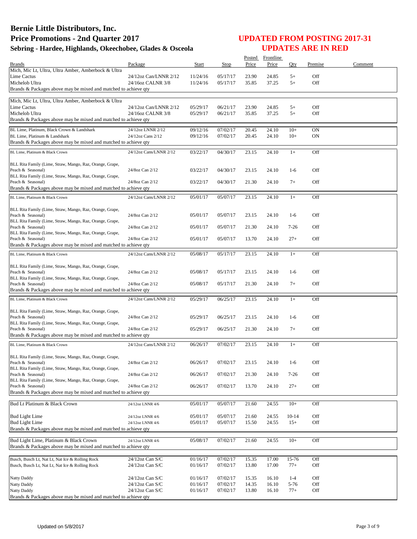|                                                                                      |                                            |                      |                      | Posted         | Frontline      |                |                 |         |
|--------------------------------------------------------------------------------------|--------------------------------------------|----------------------|----------------------|----------------|----------------|----------------|-----------------|---------|
| <b>Brands</b>                                                                        | Package                                    | Start                | Stop                 | Price          | Price          | Qty            | Premise         | Comment |
| Mich, Mic Lt, Ultra, Ultra Amber, Amberbock & Ultra<br>Lime Cactus                   | 24/12oz Can/LNNR 2/12                      | 11/24/16             | 05/17/17             | 23.90          | 24.85          | $5+$           | Off             |         |
| Michelob Ultra                                                                       | 24/16oz CALNR 3/8                          | 11/24/16             | 05/17/17             | 35.85          | 37.25          | $5+$           | Off             |         |
| Brands & Packages above may be mixed and matched to achieve qty                      |                                            |                      |                      |                |                |                |                 |         |
|                                                                                      |                                            |                      |                      |                |                |                |                 |         |
| Mich, Mic Lt, Ultra, Ultra Amber, Amberbock & Ultra                                  |                                            |                      |                      |                |                |                |                 |         |
| Lime Cactus<br>Michelob Ultra                                                        | 24/12oz Can/LNNR 2/12<br>24/16oz CALNR 3/8 | 05/29/17<br>05/29/17 | 06/21/17<br>06/21/17 | 23.90<br>35.85 | 24.85<br>37.25 | $5+$<br>$5+$   | Off<br>Off      |         |
| Brands & Packages above may be mixed and matched to achieve qty                      |                                            |                      |                      |                |                |                |                 |         |
|                                                                                      |                                            |                      |                      |                |                |                |                 |         |
| BL Lime, Platinum, Black Crown & Landshark<br>BL Lime, Platinum & Landshark          | 24/12oz LNNR 2/12<br>24/12oz Cans 2/12     | 09/12/16<br>09/12/16 | 07/02/17<br>07/02/17 | 20.45<br>20.45 | 24.10<br>24.10 | $10+$<br>$10+$ | <b>ON</b><br>0N |         |
| Brands & Packages above may be mixed and matched to achieve qty                      |                                            |                      |                      |                |                |                |                 |         |
|                                                                                      |                                            |                      |                      |                |                |                |                 |         |
| BL Lime, Platinum & Black Crown                                                      | 24/12oz Cans/LNNR 2/12                     | 03/22/17             | 04/30/17             | 23.15          | 24.10          | $1+$           | Off             |         |
| BLL Rita Family (Lime, Straw, Mango, Raz, Orange, Grape,                             |                                            |                      |                      |                |                |                |                 |         |
| Peach & Seasonal)                                                                    | 24/8oz Can 2/12                            | 03/22/17             | 04/30/17             | 23.15          | 24.10          | $1-6$          | Off             |         |
| BLL Rita Family (Lime, Straw, Mango, Raz, Orange, Grape,                             |                                            |                      |                      |                |                |                | Off             |         |
| Peach & Seasonal)<br>Brands & Packages above may be mixed and matched to achieve qty | 24/8oz Can 2/12                            | 03/22/17             | 04/30/17             | 21.30          | 24.10          | $7+$           |                 |         |
|                                                                                      |                                            |                      |                      |                |                |                |                 |         |
| BL Lime, Platinum & Black Crown                                                      | 24/12oz Cans/LNNR 2/12                     | 05/01/17             | 05/07/17             | 23.15          | 24.10          | $1+$           | Off             |         |
| BLL Rita Family (Lime, Straw, Mango, Raz, Orange, Grape,                             |                                            |                      |                      |                |                |                |                 |         |
| Peach & Seasonal)                                                                    | 24/8oz Can 2/12                            | 05/01/17             | 05/07/17             | 23.15          | 24.10          | $1-6$          | Off             |         |
| BLL Rita Family (Lime, Straw, Mango, Raz, Orange, Grape,                             |                                            |                      |                      |                |                |                |                 |         |
| Peach & Seasonal)<br>BLL Rita Family (Lime, Straw, Mango, Raz, Orange, Grape,        | 24/8oz Can 2/12                            | 05/01/17             | 05/07/17             | 21.30          | 24.10          | $7 - 26$       | Off             |         |
| Peach & Seasonal)                                                                    | 24/8oz Can 2/12                            | 05/01/17             | 05/07/17             | 13.70          | 24.10          | $27+$          | Off             |         |
| Brands & Packages above may be mixed and matched to achieve qty                      |                                            |                      |                      |                |                |                |                 |         |
| BL Lime, Platinum & Black Crown                                                      | 24/12oz Cans/LNNR 2/12                     | 05/08/17             | 05/17/17             | 23.15          | 24.10          | $1+$           | Off             |         |
|                                                                                      |                                            |                      |                      |                |                |                |                 |         |
| BLL Rita Family (Lime, Straw, Mango, Raz, Orange, Grape,                             |                                            |                      |                      |                |                |                |                 |         |
| Peach & Seasonal)                                                                    | 24/8oz Can 2/12                            | 05/08/17             | 05/17/17             | 23.15          | 24.10          | $1-6$          | Off             |         |
| BLL Rita Family (Lime, Straw, Mango, Raz, Orange, Grape,<br>Peach & Seasonal)        | 24/8oz Can 2/12                            | 05/08/17             | 05/17/17             | 21.30          | 24.10          | $7+$           | Off             |         |
| Brands & Packages above may be mixed and matched to achieve qty                      |                                            |                      |                      |                |                |                |                 |         |
| BL Lime, Platinum & Black Crown                                                      | 24/12oz Cans/LNNR 2/12                     | 05/29/17             | 06/25/17             | 23.15          | 24.10          | $1+$           | Off             |         |
|                                                                                      |                                            |                      |                      |                |                |                |                 |         |
| BLL Rita Family (Lime, Straw, Mango, Raz, Orange, Grape,                             |                                            |                      |                      |                |                |                |                 |         |
| Peach & Seasonal)                                                                    | 24/8oz Can 2/12                            | 05/29/17             | 06/25/17             | 23.15          | 24.10          | $1-6$          | Off             |         |
| BLL Rita Family (Lime, Straw, Mango, Raz, Orange, Grape,<br>Peach & Seasonal)        | 24/8oz Can 2/12                            | 05/29/17             | 06/25/17             | 21.30          | 24.10          | $7+$           | Off             |         |
| Brands & Packages above may be mixed and matched to achieve qty                      |                                            |                      |                      |                |                |                |                 |         |
| BL Lime, Platinum & Black Crown                                                      | 24/12oz Cans/LNNR 2/12                     | 06/26/17             | 07/02/17             | 23.15          | 24.10          | $1+$           | Off             |         |
|                                                                                      |                                            |                      |                      |                |                |                |                 |         |
| BLL Rita Family (Lime, Straw, Mango, Raz, Orange, Grape,                             |                                            |                      |                      |                |                |                |                 |         |
| Peach & Seasonal)                                                                    | 24/8oz Can 2/12                            | 06/26/17             | 07/02/17             | 23.15          | 24.10          | $1-6$          | Off             |         |
| BLL Rita Family (Lime, Straw, Mango, Raz, Orange, Grape,<br>Peach & Seasonal)        | 24/8oz Can 2/12                            | 06/26/17             | 07/02/17             | 21.30          | 24.10          | $7 - 26$       | Off             |         |
| BLL Rita Family (Lime, Straw, Mango, Raz, Orange, Grape,                             |                                            |                      |                      |                |                |                |                 |         |
| Peach & Seasonal)                                                                    | 24/8oz Can 2/12                            | 06/26/17             | 07/02/17             | 13.70          | 24.10          | $27+$          | Off             |         |
| Brands & Packages above may be mixed and matched to achieve qty                      |                                            |                      |                      |                |                |                |                 |         |
| Bud Lt Platinum & Black Crown                                                        | 24/12oz LNNR 4/6                           | 05/01/17             | 05/07/17             | 21.60          | 24.55          | $10+$          | Off             |         |
|                                                                                      |                                            |                      |                      |                |                |                |                 |         |
| <b>Bud Light Lime</b>                                                                | 24/12oz LNNR 4/6                           | 05/01/17             | 05/07/17             | 21.60          | 24.55          | $10 - 14$      | Off             |         |
| <b>Bud Light Lime</b>                                                                | 24/12oz LNNR 4/6                           | 05/01/17             | 05/07/17             | 15.50          | 24.55          | $15+$          | Off             |         |
| Brands & Packages above may be mixed and matched to achieve qty                      |                                            |                      |                      |                |                |                |                 |         |
| Bud Light Lime, Platinum & Black Crown                                               | 24/12oz LNNR 4/6                           | 05/08/17             | 07/02/17             | 21.60          | 24.55          | $10+$          | Off             |         |
| Brands & Packages above may be mixed and matched to achieve qty                      |                                            |                      |                      |                |                |                |                 |         |
|                                                                                      |                                            |                      |                      |                |                |                |                 |         |
| Busch, Busch Lt, Nat Lt, Nat Ice & Rolling Rock                                      | $24/12$ oz Can S/C                         | 01/16/17             | 07/02/17             | 15.35          | 17.00          | 15-76          | Off             |         |
| Busch, Busch Lt, Nat Lt, Nat Ice & Rolling Rock                                      | 24/12oz Can S/C                            | 01/16/17             | 07/02/17             | 13.80          | 17.00          | $77+$          | Off             |         |
| <b>Natty Daddy</b>                                                                   | 24/12oz Can S/C                            | 01/16/17             | 07/02/17             | 15.35          | 16.10          | $1 - 4$        | Off             |         |
| <b>Natty Daddy</b>                                                                   | 24/12oz Can S/C                            | 01/16/17             | 07/02/17             | 14.35          | 16.10          | 5-76           | Off             |         |
| Natty Daddy                                                                          | 24/12oz Can S/C                            | 01/16/17             | 07/02/17             | 13.80          | 16.10          | $77+$          | Off             |         |
| Brands & Packages above may be mixed and matched to achieve qty                      |                                            |                      |                      |                |                |                |                 |         |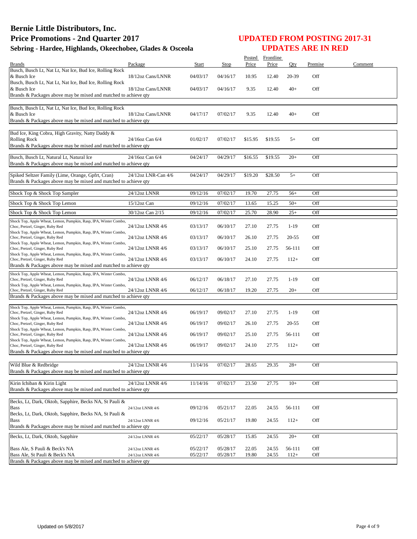|                                                                                                     |                     |              |          | Posted  | Frontline |           |         |         |
|-----------------------------------------------------------------------------------------------------|---------------------|--------------|----------|---------|-----------|-----------|---------|---------|
| <b>Brands</b>                                                                                       | Package             | <b>Start</b> | Stop     | Price   | Price     | Qty       | Premise | Comment |
| Busch, Busch Lt, Nat Lt, Nat Ice, Bud Ice, Rolling Rock                                             |                     |              |          |         |           |           |         |         |
| & Busch Ice                                                                                         | 18/12oz Cans/LNNR   | 04/03/17     | 04/16/17 | 10.95   | 12.40     | 20-39     | Off     |         |
| Busch, Busch Lt, Nat Lt, Nat Ice, Bud Ice, Rolling Rock                                             |                     |              |          |         |           |           |         |         |
| & Busch Ice<br>Brands & Packages above may be mixed and matched to achieve qty                      | 18/12oz Cans/LNNR   | 04/03/17     | 04/16/17 | 9.35    | 12.40     | $40+$     | Off     |         |
|                                                                                                     |                     |              |          |         |           |           |         |         |
| Busch, Busch Lt, Nat Lt, Nat Ice, Bud Ice, Rolling Rock                                             |                     |              |          |         |           |           |         |         |
| & Busch Ice                                                                                         | 18/12oz Cans/LNNR   | 04/17/17     | 07/02/17 | 9.35    | 12.40     | $40+$     | Off     |         |
| Brands & Packages above may be mixed and matched to achieve qty                                     |                     |              |          |         |           |           |         |         |
|                                                                                                     |                     |              |          |         |           |           |         |         |
| Bud Ice, King Cobra, High Gravity, Natty Daddy &                                                    |                     |              |          |         |           |           |         |         |
| <b>Rolling Rock</b>                                                                                 | 24/16oz Can 6/4     | 01/02/17     | 07/02/17 | \$15.95 | \$19.55   | $5+$      | Off     |         |
| Brands & Packages above may be mixed and matched to achieve qty                                     |                     |              |          |         |           |           |         |         |
| Busch, Busch Lt, Natural Lt, Natural Ice                                                            | 24/16oz Can 6/4     | 04/24/17     | 04/29/17 | \$16.55 | \$19.55   | $20+$     | Off     |         |
| Brands & Packages above may be mixed and matched to achieve qty                                     |                     |              |          |         |           |           |         |         |
|                                                                                                     |                     |              |          |         |           |           |         |         |
| Spiked Seltzer Family (Lime, Orange, Gpfrt, Cran)                                                   | 24/12oz LNR-Can 4/6 | 04/24/17     | 04/29/17 | \$19.20 | \$28.50   | $5+$      | Off     |         |
| Brands & Packages above may be mixed and matched to achieve qty                                     |                     |              |          |         |           |           |         |         |
|                                                                                                     |                     |              |          |         |           |           |         |         |
| Shock Top & Shock Top Sampler                                                                       | 24/12oz LNNR        | 09/12/16     | 07/02/17 | 19.70   | 27.75     | $56+$     | Off     |         |
| Shock Top & Shock Top Lemon                                                                         | $15/12$ oz Can      | 09/12/16     | 07/02/17 | 13.65   | 15.25     | $50+$     | Off     |         |
|                                                                                                     |                     |              |          |         |           |           |         |         |
| Shock Top & Shock Top Lemon                                                                         | 30/12oz Can 2/15    | 09/12/16     | 07/02/17 | 25.70   | 28.90     | $25+$     | Off     |         |
| Shock Top, Apple Wheat, Lemon, Pumpkin, Rasp, IPA, Winter Combo,                                    |                     |              |          |         |           |           |         |         |
| Choc, Pretzel, Ginger, Ruby Red                                                                     | 24/12oz LNNR 4/6    | 03/13/17     | 06/10/17 | 27.10   | 27.75     | $1-19$    | Off     |         |
| Shock Top, Apple Wheat, Lemon, Pumpkin, Rasp, IPA, Winter Combo,<br>Choc, Pretzel, Ginger, Ruby Red | 24/12oz LNNR 4/6    | 03/13/17     | 06/10/17 | 26.10   | 27.75     | $20 - 55$ | Off     |         |
| Shock Top, Apple Wheat, Lemon, Pumpkin, Rasp, IPA, Winter Combo,                                    |                     |              |          |         |           |           |         |         |
| Choc, Pretzel, Ginger, Ruby Red                                                                     | 24/12oz LNNR 4/6    | 03/13/17     | 06/10/17 | 25.10   | 27.75     | 56-111    | Off     |         |
| Shock Top, Apple Wheat, Lemon, Pumpkin, Rasp, IPA, Winter Combo,                                    |                     |              |          |         |           |           |         |         |
| Choc, Pretzel, Ginger, Ruby Red                                                                     | 24/12oz LNNR 4/6    | 03/13/17     | 06/10/17 | 24.10   | 27.75     | $112+$    | Off     |         |
| Brands & Packages above may be mixed and matched to achieve qty                                     |                     |              |          |         |           |           |         |         |
| Shock Top, Apple Wheat, Lemon, Pumpkin, Rasp, IPA, Winter Combo,                                    |                     |              |          |         |           |           |         |         |
| Choc, Pretzel, Ginger, Ruby Red<br>Shock Top, Apple Wheat, Lemon, Pumpkin, Rasp, IPA, Winter Combo, | 24/12oz LNNR 4/6    | 06/12/17     | 06/18/17 | 27.10   | 27.75     | $1 - 19$  | Off     |         |
| Choc, Pretzel, Ginger, Ruby Red                                                                     | 24/12oz LNNR 4/6    | 06/12/17     | 06/18/17 | 19.20   | 27.75     | $20+$     | Off     |         |
| Brands & Packages above may be mixed and matched to achieve qty                                     |                     |              |          |         |           |           |         |         |
|                                                                                                     |                     |              |          |         |           |           |         |         |
| Shock Top, Apple Wheat, Lemon, Pumpkin, Rasp, IPA, Winter Combo,                                    |                     |              |          |         |           |           |         |         |
| Choc, Pretzel, Ginger, Ruby Red<br>Shock Top, Apple Wheat, Lemon, Pumpkin, Rasp, IPA, Winter Combo, | 24/12oz LNNR 4/6    | 06/19/17     | 09/02/17 | 27.10   | 27.75     | $1-19$    | Off     |         |
| Choc, Pretzel, Ginger, Ruby Red                                                                     | 24/12oz LNNR 4/6    | 06/19/17     | 09/02/17 | 26.10   | 27.75     | 20-55     | Off     |         |
| Shock Top, Apple Wheat, Lemon, Pumpkin, Rasp, IPA, Winter Combo,                                    |                     |              |          |         |           |           |         |         |
| Choc, Pretzel, Ginger, Ruby Red                                                                     | 24/12oz LNNR 4/6    | 06/19/17     | 09/02/17 | 25.10   | 27.75     | 56-111    | Off     |         |
| Shock Top, Apple Wheat, Lemon, Pumpkin, Rasp, IPA, Winter Combo,<br>Choc, Pretzel, Ginger, Ruby Red | 24/12oz LNNR 4/6    | 06/19/17     | 09/02/17 | 24.10   | 27.75     | $112+$    | Off     |         |
| Brands & Packages above may be mixed and matched to achieve qty                                     |                     |              |          |         |           |           |         |         |
|                                                                                                     |                     |              |          |         |           |           |         |         |
| Wild Blue & Redbridge                                                                               | 24/12oz LNNR 4/6    | 11/14/16     | 07/02/17 | 28.65   | 29.35     | $28+$     | Off     |         |
| Brands & Packages above may be mixed and matched to achieve qty                                     |                     |              |          |         |           |           |         |         |
|                                                                                                     |                     |              |          |         |           |           |         |         |
| Kirin Ichiban & Kirin Light                                                                         | 24/12oz LNNR 4/6    | 11/14/16     | 07/02/17 | 23.50   | 27.75     | $10+$     | Off     |         |
| Brands & Packages above may be mixed and matched to achieve qty                                     |                     |              |          |         |           |           |         |         |
|                                                                                                     |                     |              |          |         |           |           |         |         |
| Becks, Lt, Dark, Oktob, Sapphire, Becks NA, St Pauli &                                              |                     |              |          |         |           |           |         |         |
| <b>Bass</b>                                                                                         | 24/12oz LNNR 4/6    | 09/12/16     | 05/21/17 | 22.05   | 24.55     | 56-111    | Off     |         |
| Becks, Lt, Dark, Oktob, Sapphire, Becks NA, St Pauli &                                              |                     |              |          |         |           |           | Off     |         |
| <b>Bass</b><br>Brands & Packages above may be mixed and matched to achieve qty                      | 24/12oz LNNR 4/6    | 09/12/16     | 05/21/17 | 19.80   | 24.55     | $112+$    |         |         |
|                                                                                                     |                     |              |          |         |           |           |         |         |
| Becks, Lt, Dark, Oktob, Sapphire                                                                    | 24/12oz LNNR 4/6    | 05/22/17     | 05/28/17 | 15.85   | 24.55     | $20+$     | Off     |         |
|                                                                                                     |                     |              |          |         |           |           |         |         |
| Bass Ale, S Pauli & Beck's NA                                                                       | 24/12oz LNNR 4/6    | 05/22/17     | 05/28/17 | 22.05   | 24.55     | 56-111    | Off     |         |
| Bass Ale, St Pauli & Beck's NA                                                                      | 24/12oz LNNR 4/6    | 05/22/17     | 05/28/17 | 19.80   | 24.55     | $112+$    | Off     |         |
| Brands & Packages above may be mixed and matched to achieve qty                                     |                     |              |          |         |           |           |         |         |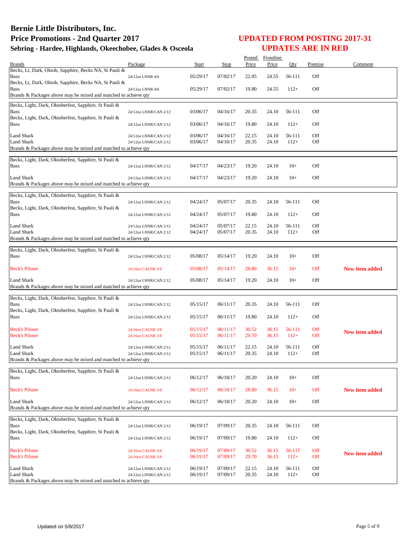| <b>Brands</b>                                                                        | Package                                        | Start                | Stop                 | Price          | Posted Frontline<br>Price | Oty              | Premise    | Comment               |
|--------------------------------------------------------------------------------------|------------------------------------------------|----------------------|----------------------|----------------|---------------------------|------------------|------------|-----------------------|
| Becks, Lt, Dark, Oktob, Sapphire, Becks NA, St Pauli &                               |                                                |                      |                      |                |                           |                  |            |                       |
| Bass<br>Becks, Lt, Dark, Oktob, Sapphire, Becks NA, St Pauli &                       | 24/12oz LNNR 4/6                               | 05/29/17             | 07/02/17             | 22.05          | 24.55                     | 56-111           | Off        |                       |
| Bass<br>Brands & Packages above may be mixed and matched to achieve qty              | 24/12oz LNNR 4/6                               | 05/29/17             | 07/02/17             | 19.80          | 24.55                     | $112+$           | Off        |                       |
|                                                                                      |                                                |                      |                      |                |                           |                  |            |                       |
| Becks, Light, Dark, Oktoberfest, Sapphire, St Pauli &<br>Bass                        | 24/12oz LNNR/CAN 2/12                          | 03/06/17             | 04/16/17             | 20.35          | 24.10                     | 56-111           | Off        |                       |
| Becks, Light, Dark, Oktoberfest, Sapphire, St Pauli &<br>Bass                        | 24/12oz LNNR/CAN 2/12                          | 03/06/17             | 04/16/17             | 19.80          | 24.10                     | $112+$           | Off        |                       |
| Land Shark                                                                           | 24/12oz LNNR/CAN 2/12                          | 03/06/17             | 04/16/17             | 22.15          | 24.10                     | 56-111           | Off        |                       |
| <b>Land Shark</b>                                                                    | 24/12oz LNNR/CAN 2/12                          | 03/06/17             | 04/16/17             | 20.35          | 24.10                     | $112+$           | Off        |                       |
| Brands & Packages above may be mixed and matched to achieve qty                      |                                                |                      |                      |                |                           |                  |            |                       |
| Becks, Light, Dark, Oktoberfest, Sapphire, St Pauli &                                |                                                |                      |                      |                |                           |                  |            |                       |
| <b>Bass</b>                                                                          | 24/12oz LNNR/CAN 2/12                          | 04/17/17             | 04/23/17             | 19.20          | 24.10                     | $10+$            | Off        |                       |
| Land Shark<br>Brands & Packages above may be mixed and matched to achieve qty        | 24/12oz LNNR/CAN 2/12                          | 04/17/17             | 04/23/17             | 19.20          | 24.10                     | $10+$            | Off        |                       |
|                                                                                      |                                                |                      |                      |                |                           |                  |            |                       |
| Becks, Light, Dark, Oktoberfest, Sapphire, St Pauli &<br>Bass                        | 24/12oz LNNR/CAN 2/12                          | 04/24/17             | 05/07/17             | 20.35          | 24.10                     | 56-111           | Off        |                       |
| Becks, Light, Dark, Oktoberfest, Sapphire, St Pauli &<br>Bass                        | 24/12oz LNNR/CAN 2/12                          | 04/24/17             | 05/07/17             | 19.80          | 24.10                     | $112+$           | Off        |                       |
|                                                                                      |                                                |                      |                      |                |                           |                  |            |                       |
| <b>Land Shark</b><br><b>Land Shark</b>                                               | 24/12oz LNNR/CAN 2/12<br>24/12oz LNNR/CAN 2/12 | 04/24/17<br>04/24/17 | 05/07/17<br>05/07/17 | 22.15<br>20.35 | 24.10<br>24.10            | 56-111<br>$112+$ | Off<br>Off |                       |
| Brands & Packages above may be mixed and matched to achieve qty                      |                                                |                      |                      |                |                           |                  |            |                       |
|                                                                                      |                                                |                      |                      |                |                           |                  |            |                       |
| Becks, Light, Dark, Oktoberfest, Sapphire, St Pauli &<br><b>Bass</b>                 | 24/12oz LNNR/CAN 2/12                          | 05/08/17             | 05/14/17             | 19.20          | 24.10                     | $10+$            | Off        |                       |
| <b>Beck's Pilsner</b>                                                                | 24/16oz CALNR 3/8                              | 05/08/17             | 05/14/17             | 28.80          | 36.15                     | $10+$            | Off        | <b>New item added</b> |
| <b>Land Shark</b>                                                                    | 24/12oz LNNR/CAN 2/12                          | 05/08/17             | 05/14/17             | 19.20          | 24.10                     | $10+$            | Off        |                       |
| Brands & Packages above may be mixed and matched to achieve qty                      |                                                |                      |                      |                |                           |                  |            |                       |
| Becks, Light, Dark, Oktoberfest, Sapphire, St Pauli &                                |                                                |                      |                      |                |                           |                  |            |                       |
| <b>Bass</b>                                                                          | 24/12oz LNNR/CAN 2/12                          | 05/15/17             | 06/11/17             | 20.35          | 24.10                     | 56-111           | Off        |                       |
| Becks, Light, Dark, Oktoberfest, Sapphire, St Pauli &<br>Bass                        | 24/12oz LNNR/CAN 2/12                          | 05/15/17             | 06/11/17             | 19.80          | 24.10                     | $112+$           | Off        |                       |
| <b>Beck's Pilsner</b>                                                                | 24/16oz CALNR 3/8                              | 05/15/17             | 06/11/17             | 30.52          | 36.15                     | 56-111           | Off        |                       |
| <b>Beck's Pilsner</b>                                                                | 24/16oz CALNR 3/8                              | 05/15/17             | 06/11/17             | 29.70          | 36.15                     | $112+$           | Off        | <b>New item added</b> |
| Land Shark                                                                           | 24/12oz LNNR/CAN 2/12                          | 05/15/17             | 06/11/17             | 22.15          | 24.10                     | 56-111           | Off        |                       |
| Land Shark                                                                           | 24/12oz LNNR/CAN 2/12                          | 05/15/17             | 06/11/17             | 20.35          | 24.10                     | $112+$           | Off        |                       |
| Brands & Packages above may be mixed and matched to achieve qty                      |                                                |                      |                      |                |                           |                  |            |                       |
| Becks, Light, Dark, Oktoberfest, Sapphire, St Pauli &                                |                                                |                      |                      |                |                           |                  |            |                       |
| <b>Bass</b>                                                                          | 24/12oz LNNR/CAN 2/12                          | 06/12/17             | 06/18/17             | 20.20          | 24.10                     | $10+$            | Off        |                       |
| <b>Beck's Pilsner</b>                                                                | 24/16oz CALNR 3/8                              | 06/12/17             | 06/18/17             | 28.80          | 36.15                     | $10+$            | Off        | <b>New item added</b> |
| <b>Land Shark</b><br>Brands & Packages above may be mixed and matched to achieve qty | 24/12oz LNNR/CAN 2/12                          | 06/12/17             | 06/18/17             | 20.20          | 24.10                     | $10+$            | Off        |                       |
|                                                                                      |                                                |                      |                      |                |                           |                  |            |                       |
| Becks, Light, Dark, Oktoberfest, Sapphire, St Pauli &                                |                                                |                      |                      |                |                           |                  |            |                       |
| <b>Bass</b><br>Becks, Light, Dark, Oktoberfest, Sapphire, St Pauli &                 | 24/12oz LNNR/CAN 2/12                          | 06/19/17             | 07/09/17             | 20.35          | 24.10                     | 56-111           | Off        |                       |
| <b>Bass</b>                                                                          | 24/12oz LNNR/CAN 2/12                          | 06/19/17             | 07/09/17             | 19.80          | 24.10                     | $112+$           | Off        |                       |
|                                                                                      |                                                |                      |                      |                |                           |                  |            |                       |
| <b>Beck's Pilsner</b><br><b>Beck's Pilsner</b>                                       | 24/16oz CALNR 3/8<br>24/16oz CALNR 3/8         | 06/19/17<br>06/19/17 | 07/09/17<br>07/09/17 | 30.52<br>29.70 | 36.15<br>36.15            | 56-111<br>$112+$ | Off<br>Off | <b>New item added</b> |
| Land Shark                                                                           | 24/12oz LNNR/CAN 2/12                          | 06/19/17             | 07/09/17             | 22.15          | 24.10                     | 56-111           | Off        |                       |
| Land Shark                                                                           | 24/12oz LNNR/CAN 2/12                          | 06/19/17             | 07/09/17             | 20.35          | 24.10                     | $112+$           | Off        |                       |
| Brands & Packages above may be mixed and matched to achieve qty                      |                                                |                      |                      |                |                           |                  |            |                       |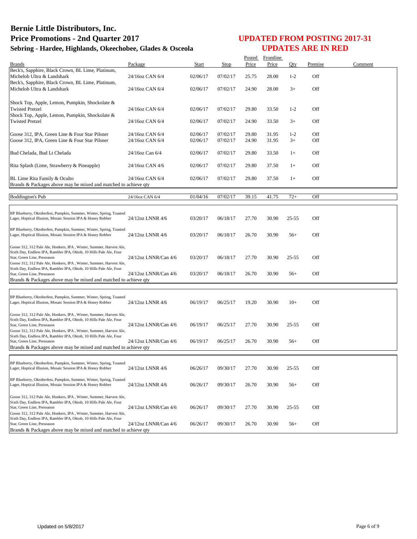|                                                                                                                                    |                      |              |          |       | Posted Frontline |           |         |         |
|------------------------------------------------------------------------------------------------------------------------------------|----------------------|--------------|----------|-------|------------------|-----------|---------|---------|
| <b>Brands</b>                                                                                                                      | Package              | <b>Start</b> | Stop     | Price | Price            | Qty       | Premise | Comment |
| Beck's, Sapphire, Black Crown, BL Lime, Platinum,                                                                                  |                      |              |          |       |                  |           |         |         |
| Michelob Ultra & Landshark                                                                                                         | 24/16oz CAN 6/4      | 02/06/17     | 07/02/17 | 25.75 | 28.00            | $1-2$     | Off     |         |
| Beck's, Sapphire, Black Crown, BL Lime, Platinum,                                                                                  |                      |              |          |       |                  |           |         |         |
| Michelob Ultra & Landshark                                                                                                         | 24/16oz CAN 6/4      | 02/06/17     | 07/02/17 | 24.90 | 28.00            | $3+$      | Off     |         |
|                                                                                                                                    |                      |              |          |       |                  |           |         |         |
| Shock Top, Apple, Lemon, Pumpkin, Shockolate &                                                                                     |                      |              |          |       |                  |           |         |         |
| <b>Twisted Pretzel</b>                                                                                                             | 24/16oz CAN 6/4      | 02/06/17     | 07/02/17 | 29.80 | 33.50            | $1 - 2$   | Off     |         |
| Shock Top, Apple, Lemon, Pumpkin, Shockolate &                                                                                     |                      |              |          |       |                  |           |         |         |
| <b>Twisted Pretzel</b>                                                                                                             | 24/16oz CAN 6/4      | 02/06/17     | 07/02/17 | 24.90 | 33.50            | $3+$      | Off     |         |
|                                                                                                                                    |                      |              |          |       |                  |           |         |         |
| Goose 312, IPA, Green Line & Four Star Pilsner                                                                                     | 24/16oz CAN 6/4      | 02/06/17     | 07/02/17 | 29.80 | 31.95            | $1 - 2$   | Off     |         |
| Goose 312, IPA, Green Line & Four Star Pilsner                                                                                     | 24/16oz CAN 6/4      | 02/06/17     | 07/02/17 | 24.90 | 31.95            | $3+$      | Off     |         |
|                                                                                                                                    |                      |              |          |       |                  |           |         |         |
| Bud Chelada, Bud Lt Chelada                                                                                                        | 24/16oz Can 6/4      | 02/06/17     | 07/02/17 | 29.80 | 33.50            | $1+$      | Off     |         |
|                                                                                                                                    |                      |              |          |       |                  |           |         |         |
| Rita Splash (Lime, Strawberry & Pineapple)                                                                                         | 24/16oz CAN 4/6      | 02/06/17     | 07/02/17 | 29.80 | 37.50            | $1+$      | Off     |         |
|                                                                                                                                    |                      |              |          |       |                  |           |         |         |
| BL Lime Rita Family & Oculto                                                                                                       | 24/16oz CAN 6/4      | 02/06/17     | 07/02/17 | 29.80 | 37.50            | $1+$      | Off     |         |
| Brands & Packages above may be mixed and matched to achieve qty                                                                    |                      |              |          |       |                  |           |         |         |
|                                                                                                                                    |                      |              |          |       |                  |           |         |         |
| <b>Boddington's Pub</b>                                                                                                            | 24/16oz CAN 6/4      | 01/04/16     | 07/02/17 | 39.15 | 41.75            | $72+$     | Off     |         |
|                                                                                                                                    |                      |              |          |       |                  |           |         |         |
|                                                                                                                                    |                      |              |          |       |                  |           |         |         |
| BP Blueberry, Oktoberfest, Pumpkin, Summer, Winter, Spring, Toasted                                                                |                      |              |          |       |                  |           |         |         |
| Lager, Hoptical Illusion, Mosaic Session IPA & Honey Robber                                                                        | 24/12oz LNNR 4/6     | 03/20/17     | 06/18/17 | 27.70 | 30.90            | $25 - 55$ | Off     |         |
|                                                                                                                                    |                      |              |          |       |                  |           |         |         |
| BP Blueberry, Oktoberfest, Pumpkin, Summer, Winter, Spring, Toasted                                                                |                      |              |          |       |                  |           |         |         |
| Lager, Hoptical Illusion, Mosaic Session IPA & Honey Robber                                                                        | 24/12oz LNNR 4/6     | 03/20/17     | 06/18/17 | 26.70 | 30.90            | $56+$     | Off     |         |
|                                                                                                                                    |                      |              |          |       |                  |           |         |         |
| Goose 312, 312 Pale Ale, Honkers, IPA, Winter, Summer, Harvest Ale,                                                                |                      |              |          |       |                  |           |         |         |
| Sixth Day, Endless IPA, Rambler IPA, Oktob, 10 Hills Pale Ale, Four<br>Star, Green Line, Preseason                                 | 24/12oz LNNR/Can 4/6 | 03/20/17     | 06/18/17 | 27.70 | 30.90            | $25 - 55$ | Off     |         |
| Goose 312, 312 Pale Ale, Honkers, IPA, Winter, Summer, Harvest Ale,                                                                |                      |              |          |       |                  |           |         |         |
| Sixth Day, Endless IPA, Rambler IPA, Oktob, 10 Hills Pale Ale, Four                                                                |                      |              |          |       |                  |           |         |         |
| Star, Green Line, Preseason                                                                                                        | 24/12oz LNNR/Can 4/6 | 03/20/17     | 06/18/17 | 26.70 | 30.90            | $56+$     | Off     |         |
| Brands & Packages above may be mixed and matched to achieve qty                                                                    |                      |              |          |       |                  |           |         |         |
|                                                                                                                                    |                      |              |          |       |                  |           |         |         |
|                                                                                                                                    |                      |              |          |       |                  |           |         |         |
| BP Blueberry, Oktoberfest, Pumpkin, Summer, Winter, Spring, Toasted                                                                |                      |              |          |       |                  |           |         |         |
| Lager, Hoptical Illusion, Mosaic Session IPA & Honey Robber                                                                        | 24/12oz LNNR 4/6     | 06/19/17     | 06/25/17 | 19.20 | 30.90            | $10+$     | Off     |         |
|                                                                                                                                    |                      |              |          |       |                  |           |         |         |
| Goose 312, 312 Pale Ale, Honkers, IPA, Winter, Summer, Harvest Ale,                                                                |                      |              |          |       |                  |           |         |         |
| Sixth Day, Endless IPA, Rambler IPA, Oktob, 10 Hills Pale Ale, Four                                                                |                      |              |          | 27.70 | 30.90            | $25 - 55$ | Off     |         |
| Star, Green Line, Preseason<br>Goose 312, 312 Pale Ale, Honkers, IPA, Winter, Summer, Harvest Ale,                                 | 24/12oz LNNR/Can 4/6 | 06/19/17     | 06/25/17 |       |                  |           |         |         |
| Sixth Day, Endless IPA, Rambler IPA, Oktob, 10 Hills Pale Ale, Four                                                                |                      |              |          |       |                  |           |         |         |
| Star, Green Line, Preseason                                                                                                        | 24/12oz LNNR/Can 4/6 | 06/19/17     | 06/25/17 | 26.70 | 30.90            | $56+$     | Off     |         |
| Brands & Packages above may be mixed and matched to achieve qty                                                                    |                      |              |          |       |                  |           |         |         |
|                                                                                                                                    |                      |              |          |       |                  |           |         |         |
|                                                                                                                                    |                      |              |          |       |                  |           |         |         |
| BP Blueberry, Oktoberfest, Pumpkin, Summer, Winter, Spring, Toasted                                                                |                      |              |          |       |                  |           |         |         |
| Lager, Hoptical Illusion, Mosaic Session IPA & Honey Robber                                                                        | 24/12oz LNNR 4/6     | 06/26/17     | 09/30/17 | 27.70 | 30.90            | $25 - 55$ | Off     |         |
|                                                                                                                                    |                      |              |          |       |                  |           |         |         |
| BP Blueberry, Oktoberfest, Pumpkin, Summer, Winter, Spring, Toasted<br>Lager, Hoptical Illusion, Mosaic Session IPA & Honey Robber | 24/12oz LNNR 4/6     | 06/26/17     | 09/30/17 | 26.70 | 30.90            | $56+$     | Off     |         |
|                                                                                                                                    |                      |              |          |       |                  |           |         |         |
| Goose 312, 312 Pale Ale, Honkers, IPA, Winter, Summer, Harvest Ale,                                                                |                      |              |          |       |                  |           |         |         |
| Sixth Day, Endless IPA, Rambler IPA, Oktob, 10 Hills Pale Ale, Four                                                                |                      |              |          |       |                  |           |         |         |
| Star, Green Line, Preseason                                                                                                        | 24/12oz LNNR/Can 4/6 | 06/26/17     | 09/30/17 | 27.70 | 30.90            | $25 - 55$ | Off     |         |
| Goose 312, 312 Pale Ale, Honkers, IPA, Winter, Summer, Harvest Ale,                                                                |                      |              |          |       |                  |           |         |         |
| Sixth Day, Endless IPA, Rambler IPA, Oktob, 10 Hills Pale Ale, Four                                                                |                      |              |          |       |                  |           |         |         |
| Star, Green Line, Preseason                                                                                                        | 24/12oz LNNR/Can 4/6 | 06/26/17     | 09/30/17 | 26.70 | 30.90            | $56+$     | Off     |         |
| Brands & Packages above may be mixed and matched to achieve qty                                                                    |                      |              |          |       |                  |           |         |         |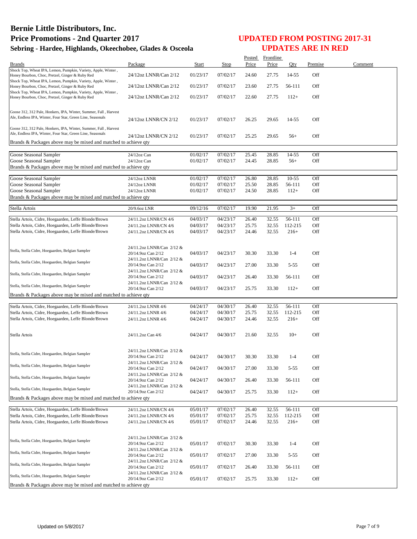|                                                                                                                                |                                                 |                      |          | Posted         | Frontline      |                |         |         |
|--------------------------------------------------------------------------------------------------------------------------------|-------------------------------------------------|----------------------|----------|----------------|----------------|----------------|---------|---------|
| <b>Brands</b>                                                                                                                  | Package                                         | <b>Start</b>         | Stop     | Price          | Price          | Qty            | Premise | Comment |
| Shock Top, Wheat IPA, Lemon, Pumpkin, Variety, Apple, Winter,                                                                  |                                                 |                      |          |                |                |                | Off     |         |
| Honey Bourbon, Choc, Pretzel, Ginger & Ruby Red<br>Shock Top, Wheat IPA, Lemon, Pumpkin, Variety, Apple, Winter,               | 24/12oz LNNR/Can 2/12                           | 01/23/17             | 07/02/17 | 24.60          | 27.75          | 14-55          |         |         |
| Honey Bourbon, Choc, Pretzel, Ginger & Ruby Red                                                                                | 24/12oz LNNR/Can 2/12                           | 01/23/17             | 07/02/17 | 23.60          | 27.75          | 56-111         | Off     |         |
| Shock Top, Wheat IPA, Lemon, Pumpkin, Variety, Apple, Winter,                                                                  |                                                 |                      |          |                |                |                |         |         |
| Honey Bourbon, Choc, Pretzel, Ginger & Ruby Red                                                                                | 24/12oz LNNR/Can 2/12                           | 01/23/17             | 07/02/17 | 22.60          | 27.75          | $112+$         | Off     |         |
|                                                                                                                                |                                                 |                      |          |                |                |                |         |         |
| Goose 312, 312 Pale, Honkers, IPA, Winter, Summer, Fall, Harvest                                                               |                                                 |                      |          |                |                |                |         |         |
| Ale, Endless IPA, Winter, Four Star, Green Line, Seasonals                                                                     | 24/12oz LNNR/CN 2/12                            | 01/23/17             | 07/02/17 | 26.25          | 29.65          | 14-55          | Off     |         |
|                                                                                                                                |                                                 |                      |          |                |                |                |         |         |
| Goose 312, 312 Pale, Honkers, IPA, Winter, Summer, Fall, Harvest<br>Ale, Endless IPA, Winter, Four Star, Green Line, Seasonals |                                                 |                      |          |                |                |                |         |         |
|                                                                                                                                | 24/12oz LNNR/CN 2/12                            | 01/23/17             | 07/02/17 | 25.25          | 29.65          | $56+$          | Off     |         |
| Brands & Packages above may be mixed and matched to achieve qty                                                                |                                                 |                      |          |                |                |                |         |         |
|                                                                                                                                |                                                 |                      | 07/02/17 |                |                |                | Off     |         |
| Goose Seasonal Sampler<br>Goose Seasonal Sampler                                                                               | 24/12oz Can<br>24/12oz Can                      | 01/02/17<br>01/02/17 | 07/02/17 | 25.45<br>24.45 | 28.85<br>28.85 | 14-55<br>$56+$ | Off     |         |
| Brands & Packages above may be mixed and matched to achieve qty                                                                |                                                 |                      |          |                |                |                |         |         |
|                                                                                                                                |                                                 |                      |          |                |                |                |         |         |
| Goose Seasonal Sampler                                                                                                         | 24/12oz LNNR                                    | 01/02/17             | 07/02/17 | 26.80          | 28.85          | $10-55$        | Off     |         |
| Goose Seasonal Sampler                                                                                                         | 24/12oz LNNR                                    | 01/02/17             | 07/02/17 | 25.50          | 28.85          | 56-111         | Off     |         |
| Goose Seasonal Sampler                                                                                                         | 24/12oz LNNR                                    | 01/02/17             | 07/02/17 | 24.50          | 28.85          | $112+$         | Off     |         |
| Brands & Packages above may be mixed and matched to achieve gty                                                                |                                                 |                      |          |                |                |                |         |         |
|                                                                                                                                |                                                 |                      |          |                |                |                |         |         |
| Stella Artois                                                                                                                  | 20/9.6oz LNR                                    | 09/12/16             | 07/02/17 | 19.90          | 21.95          | $3+$           | Off     |         |
| Stella Artois, Cidre, Hoegaarden, Leffe Blonde/Brown                                                                           | 24/11.2oz LNNR/CN 4/6                           | 04/03/17             | 04/23/17 | 26.40          | 32.55          | 56-111         | Off     |         |
| Stella Artois, Cidre, Hoegaarden, Leffe Blonde/Brown                                                                           | 24/11.2oz LNNR/CN 4/6                           | 04/03/17             | 04/23/17 | 25.75          | 32.55          | 112-215        | Off     |         |
| Stella Artois, Cidre, Hoegaarden, Leffe Blonde/Brown                                                                           | 24/11.2oz LNNR/CN 4/6                           | 04/03/17             | 04/23/17 | 24.46          | 32.55          | $216+$         | Off     |         |
|                                                                                                                                |                                                 |                      |          |                |                |                |         |         |
|                                                                                                                                |                                                 |                      |          |                |                |                |         |         |
| Stella, Stella Cidre, Hoegaarden, Belgian Sampler                                                                              | 24/11.2oz LNNR/Can 2/12 &<br>20/14.9oz Can 2/12 | 04/03/17             | 04/23/17 | 30.30          | 33.30          | $1 - 4$        | Off     |         |
|                                                                                                                                | 24/11.2oz LNNR/Can 2/12 &                       |                      |          |                |                |                |         |         |
| Stella, Stella Cidre, Hoegaarden, Belgian Sampler                                                                              | 20/14.9oz Can 2/12                              | 04/03/17             | 04/23/17 | 27.00          | 33.30          | $5 - 55$       | Off     |         |
|                                                                                                                                | 24/11.2oz LNNR/Can 2/12 &                       |                      |          |                |                |                |         |         |
| Stella, Stella Cidre, Hoegaarden, Belgian Sampler                                                                              | 20/14.9oz Can 2/12                              | 04/03/17             | 04/23/17 | 26.40          | 33.30          | 56-111         | Off     |         |
| Stella, Stella Cidre, Hoegaarden, Belgian Sampler                                                                              | 24/11.2oz LNNR/Can 2/12 &                       |                      |          |                |                |                |         |         |
|                                                                                                                                | 20/14.9oz Can 2/12                              | 04/03/17             | 04/23/17 | 25.75          | 33.30          | $112+$         | Off     |         |
| Brands & Packages above may be mixed and matched to achieve qty                                                                |                                                 |                      |          |                |                |                |         |         |
| Stella Artois, Cidre, Hoegaarden, Leffe Blonde/Brown                                                                           | 24/11.2oz LNNR 4/6                              | 04/24/17             | 04/30/17 | 26.40          | 32.55          | 56-111         | Off     |         |
| Stella Artois, Cidre, Hoegaarden, Leffe Blonde/Brown                                                                           | 24/11.2oz LNNR 4/6                              | 04/24/17             | 04/30/17 | 25.75          | 32.55          | 112-215        | Off     |         |
| Stella Artois, Cidre, Hoegaarden, Leffe Blonde/Brown                                                                           | 24/11.2oz LNNR 4/6                              | 04/24/17             | 04/30/17 | 24.46          | 32.55          | $216+$         | Off     |         |
|                                                                                                                                |                                                 |                      |          |                |                |                |         |         |
|                                                                                                                                |                                                 |                      |          |                |                |                |         |         |
| Stella Artois                                                                                                                  | 24/11.2oz Can 4/6                               | 04/24/17             | 04/30/17 | 21.60          | 32.55          | $10+$          | Off     |         |
|                                                                                                                                |                                                 |                      |          |                |                |                |         |         |
|                                                                                                                                | 24/11.2oz LNNR/Can 2/12 &                       |                      |          |                |                |                |         |         |
| Stella, Stella Cidre, Hoegaarden, Belgian Sampler                                                                              | 20/14.9oz Can 2/12                              | 04/24/17             | 04/30/17 | 30.30          | 33.30          | $1-4$          | Off     |         |
| Stella, Stella Cidre, Hoegaarden, Belgian Sampler                                                                              | 24/11.2oz LNNR/Can 2/12 &                       |                      |          |                |                |                |         |         |
|                                                                                                                                | 20/14.9oz Can 2/12                              | 04/24/17             | 04/30/17 | 27.00          | 33.30          | $5 - 55$       | Off     |         |
| Stella, Stella Cidre, Hoegaarden, Belgian Sampler                                                                              | 24/11.2oz LNNR/Can 2/12 &                       |                      |          |                |                |                |         |         |
|                                                                                                                                | 20/14.9oz Can 2/12                              | 04/24/17             | 04/30/17 | 26.40          | 33.30          | 56-111         | Off     |         |
| Stella, Stella Cidre, Hoegaarden, Belgian Sampler                                                                              | 24/11.2oz LNNR/Can 2/12 &<br>20/14.9oz Can 2/12 | 04/24/17             | 04/30/17 | 25.75          | 33.30          | $112+$         | Off     |         |
| Brands & Packages above may be mixed and matched to achieve qty                                                                |                                                 |                      |          |                |                |                |         |         |
|                                                                                                                                |                                                 |                      |          |                |                |                |         |         |
| Stella Artois, Cidre, Hoegaarden, Leffe Blonde/Brown                                                                           | 24/11.2oz LNNR/CN 4/6                           | 05/01/17             | 07/02/17 | 26.40          | 32.55          | 56-111         | Off     |         |
| Stella Artois, Cidre, Hoegaarden, Leffe Blonde/Brown                                                                           | 24/11.2oz LNNR/CN 4/6                           | 05/01/17             | 07/02/17 | 25.75          | 32.55          | 112-215        | Off     |         |
| Stella Artois, Cidre, Hoegaarden, Leffe Blonde/Brown                                                                           | 24/11.2oz LNNR/CN 4/6                           | 05/01/17             | 07/02/17 | 24.46          | 32.55          | $216+$         | Off     |         |
|                                                                                                                                |                                                 |                      |          |                |                |                |         |         |
|                                                                                                                                | 24/11.2oz LNNR/Can 2/12 &                       |                      |          |                |                |                |         |         |
| Stella, Stella Cidre, Hoegaarden, Belgian Sampler                                                                              | 20/14.9oz Can 2/12                              | 05/01/17             | 07/02/17 | 30.30          | 33.30          | $1 - 4$        | Off     |         |
|                                                                                                                                | 24/11.2oz LNNR/Can 2/12 &                       |                      |          |                |                |                |         |         |
| Stella, Stella Cidre, Hoegaarden, Belgian Sampler                                                                              | 20/14.9oz Can 2/12                              | 05/01/17             | 07/02/17 | 27.00          | 33.30          | $5 - 55$       | Off     |         |
| Stella, Stella Cidre, Hoegaarden, Belgian Sampler                                                                              | 24/11.2oz LNNR/Can 2/12 &                       |                      |          |                |                |                |         |         |
|                                                                                                                                | 20/14.9oz Can 2/12                              | 05/01/17             | 07/02/17 | 26.40          | 33.30          | 56-111         | Off     |         |
| Stella, Stella Cidre, Hoegaarden, Belgian Sampler                                                                              | 24/11.2oz LNNR/Can 2/12 &                       |                      |          |                |                |                |         |         |
|                                                                                                                                | 20/14.9oz Can 2/12                              | 05/01/17             | 07/02/17 | 25.75          | 33.30          | $112+$         | Off     |         |
| Brands & Packages above may be mixed and matched to achieve qty                                                                |                                                 |                      |          |                |                |                |         |         |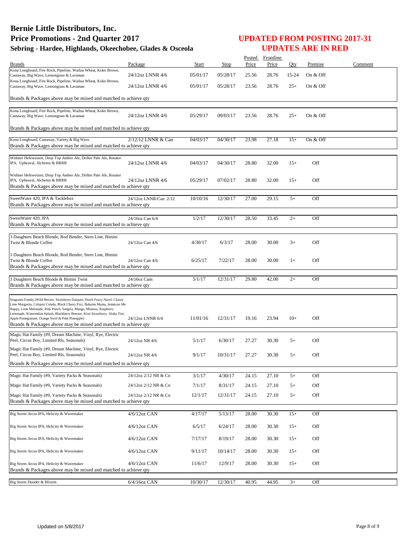|                                                                                                                                                               |                       |          |          |       | Posted Frontline |       |          |         |
|---------------------------------------------------------------------------------------------------------------------------------------------------------------|-----------------------|----------|----------|-------|------------------|-------|----------|---------|
| <b>Brands</b><br>Kona Longboard, Fire Rock, Pipeline, Wailua Wheat, Koko Brown,                                                                               | Package               | Start    | Stop     | Price | Price            | Oty   | Premise  | Comment |
| Castaway, Big Wave, Lemongrass & Lavaman                                                                                                                      | 24/12oz LNNR 4/6      | 05/01/17 | 05/28/17 | 25.56 | 28.76            | 15-24 | On & Off |         |
| Kona Longboard, Fire Rock, Pipeline, Wailua Wheat, Koko Brown,<br>Castaway, Big Wave, Lemongrass & Lavaman                                                    | 24/12oz LNNR 4/6      | 05/01/17 | 05/28/17 | 23.56 | 28.76            | $25+$ | On & Off |         |
|                                                                                                                                                               |                       |          |          |       |                  |       |          |         |
| Brands & Packages above may be mixed and matched to achieve qty                                                                                               |                       |          |          |       |                  |       |          |         |
| Kona Longboard, Fire Rock, Pipeline, Wailua Wheat, Koko Brown,                                                                                                |                       |          |          |       |                  |       |          |         |
| Castaway, Big Wave, Lemongrass & Lavaman                                                                                                                      | 24/12oz LNNR 4/6      | 05/29/17 | 09/03/17 | 23.56 | 28.76            | $25+$ | On & Off |         |
| Brands & Packages above may be mixed and matched to achieve qty                                                                                               |                       |          |          |       |                  |       |          |         |
|                                                                                                                                                               | 2/12/12 LNNR & Can    | 04/03/17 | 04/30/17 | 23.98 | 27.18            |       | On & Off |         |
| Kona Longboard, Castaway, Variety & Big Wave<br>Brands & Packages above may be mixed and matched to achieve qty                                               |                       |          |          |       |                  | $15+$ |          |         |
|                                                                                                                                                               |                       |          |          |       |                  |       |          |         |
| Widmer Hefeweizen, Drop Top Amber Ale, Drifter Pale Ale, Rotator<br>IPA, Upheaval, Alchemy & BRRR                                                             | 24/12oz LNNR 4/6      | 04/03/17 | 04/30/17 | 28.80 | 32.00            | $15+$ | Off      |         |
|                                                                                                                                                               |                       |          |          |       |                  |       |          |         |
| Widmer Hefeweizen, Drop Top Amber Ale, Drifter Pale Ale, Rotator<br>IPA, Upheaval, Alchemy & BRRR                                                             | 24/12oz LNNR 4/6      | 05/29/17 | 07/02/17 | 28.80 | 32.00            | $15+$ | Off      |         |
| Brands & Packages above may be mixed and matched to achieve qty                                                                                               |                       |          |          |       |                  |       |          |         |
|                                                                                                                                                               |                       |          |          |       |                  |       |          |         |
| SweetWater 420, IPA & Tacklebox<br>Brands & Packages above may be mixed and matched to achieve qty                                                            | 24/12oz LNNR/Can 2/12 | 10/10/16 | 12/30/17 | 27.00 | 29.15            | $5+$  | Off      |         |
|                                                                                                                                                               |                       |          |          |       |                  |       |          |         |
| SweetWater 420, IPA                                                                                                                                           | 24/16oz Can 6/4       | 1/2/17   | 12/30/17 | 28.50 | 33.45            | $2+$  | Off      |         |
| Brands & Packages above may be mixed and matched to achieve qty                                                                                               |                       |          |          |       |                  |       |          |         |
| 3 Daughters Beach Blonde, Rod Bender, Stern Line, Bimini                                                                                                      |                       |          |          |       |                  |       |          |         |
| Twist & Blonde Coffee                                                                                                                                         | 24/12oz Can 4/6       | 4/30/17  | 6/3/17   | 28.00 | 30.00            | $3+$  | Off      |         |
|                                                                                                                                                               |                       |          |          |       |                  |       |          |         |
| 3 Daughters Beach Blonde, Rod Bender, Stern Line, Bimini<br>Twist & Blonde Coffee                                                                             | 24/12oz Can 4/6       | 6/25/17  | 7/22/17  | 28.00 | 30.00            | $1+$  | Off      |         |
| Brands & Packages above may be mixed and matched to achieve qty                                                                                               |                       |          |          |       |                  |       |          |         |
| 3 Daughters Beach Blonde & Bimini Twist                                                                                                                       | 24/16oz Cans          | 5/1/17   | 12/31/17 | 29.80 | 42.00            | $2+$  | Off      |         |
| Brands & Packages above may be mixed and matched to achieve qty                                                                                               |                       |          |          |       |                  |       |          |         |
|                                                                                                                                                               |                       |          |          |       |                  |       |          |         |
| Seagrams Family (Wild Berries, Strawberry Daiquiri, Peach Fuzzy Navel, Classic<br>Lime Margarita, Calypso Colada, Black Cherry Fizz, Bahama Mama, Jamaican Me |                       |          |          |       |                  |       |          |         |
| Happy, Lime Melonade, Pink Punch, Sangria, Mango, Mimosa, Raspberry                                                                                           |                       |          |          |       |                  |       |          |         |
| Lemonade, Watermelon Splash, Blackberry Breezer, Kiwi Strawberry, Aloha Tini,<br>Apple Pomegranate, Orange Swirl & Pink Pineapple)                            | 24/12oz LNNR 6/4      | 11/01/16 | 12/31/17 | 19.16 | 23.94            | $10+$ | Off      |         |
| Brands & Packages above may be mixed and matched to achieve qty                                                                                               |                       |          |          |       |                  |       |          |         |
| Magic Hat Family (#9, Dream Machine, Vinyl, Rye, Electric                                                                                                     |                       |          |          |       |                  |       |          |         |
| Peel, Circus Boy, Limited Rls, Seasonals)                                                                                                                     | 24/12oz NR 4/6        | 5/1/17   | 6/30/17  | 27.27 | 30.30            | $5+$  | Off      |         |
| Magic Hat Family (#9, Dream Machine, Vinyl, Rye, Electric                                                                                                     |                       |          |          |       |                  |       |          |         |
| Peel, Circus Boy, Limited Rls, Seasonals)                                                                                                                     | 24/12oz NR 4/6        | 9/1/17   | 10/31/17 | 27.27 | 30.30            | $5+$  | Off      |         |
| Brands & Packages above may be mixed and matched to achieve qty                                                                                               |                       |          |          |       |                  |       |          |         |
| Magic Hat Family (#9, Variety Packs & Seasonals)                                                                                                              | 24/12oz 2/12 NR & Cn  | 3/1/17   | 4/30/17  | 24.15 | 27.10            | $5+$  | Off      |         |
| Magic Hat Family (#9, Variety Packs & Seasonals)                                                                                                              | 24/12oz 2/12 NR & Cn  | 7/1/17   | 8/31/17  | 24.15 | 27.10            | $5+$  | Off      |         |
|                                                                                                                                                               |                       |          |          |       |                  |       |          |         |
| Magic Hat Family (#9, Variety Packs & Seasonals)<br>Brands & Packages above may be mixed and matched to achieve qty                                           | 24/12oz 2/12 NR & Cn  | 12/1/17  | 12/31/17 | 24.15 | 27.10            | $5+$  | Off      |         |
|                                                                                                                                                               |                       |          |          |       |                  |       |          |         |
| Big Storm Arcus IPA, Helicity & Wavemaker                                                                                                                     | 4/6/12oz CAN          | 4/17/17  | 5/13/17  | 28.00 | 30.30            | $15+$ | Off      |         |
| Big Storm Arcus IPA, Helicity & Wavemaker                                                                                                                     | 4/6/12oz CAN          | 6/5/17   | 6/24/17  | 28.00 | 30.30            | $15+$ | Off      |         |
|                                                                                                                                                               |                       |          |          |       |                  |       |          |         |
| Big Storm Arcus IPA, Helicity & Wavemaker                                                                                                                     | 4/6/12oz CAN          | 7/17/17  | 8/19/17  | 28.00 | 30.30            | $15+$ | Off      |         |
| Big Storm Arcus IPA, Helicity & Wavemaker                                                                                                                     | 4/6/12oz CAN          | 9/11/17  | 10/14/17 | 28.00 | 30.30            | $15+$ | Off      |         |
|                                                                                                                                                               |                       |          |          |       |                  |       |          |         |
| Big Storm Arcus IPA, Helicity & Wavemaker                                                                                                                     | 4/6/12oz CAN          | 11/6/17  | 12/9/17  | 28.00 | 30.30            | $15+$ | Off      |         |
| Brands & Packages above may be mixed and matched to achieve qty                                                                                               |                       |          |          |       |                  |       |          |         |
| Big Storm Dunder & Blixem                                                                                                                                     | 6/4/16oz CAN          | 10/30/17 | 12/30/17 | 40.95 | 44.95            | $3+$  | Off      |         |
|                                                                                                                                                               |                       |          |          |       |                  |       |          |         |